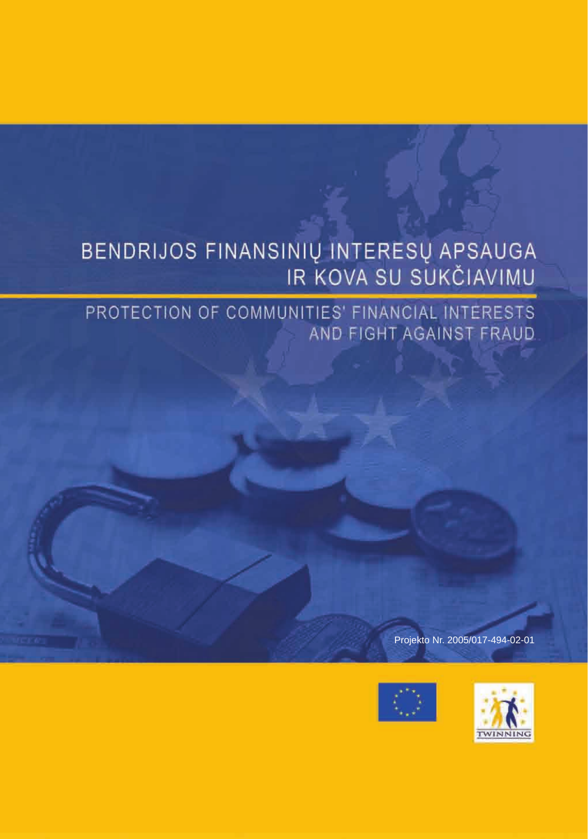# BENDRIJOS FINANSINIŲ INTERESŲ APSAUGA<br>IR KOVA SU SUKČIAVIMU

PROTECTION OF COMMUNITIES' FINANCIAL INTERESTS AND FIGHT AGAINST FRAUD

Projekto Nr. 2005/017-494-02-01



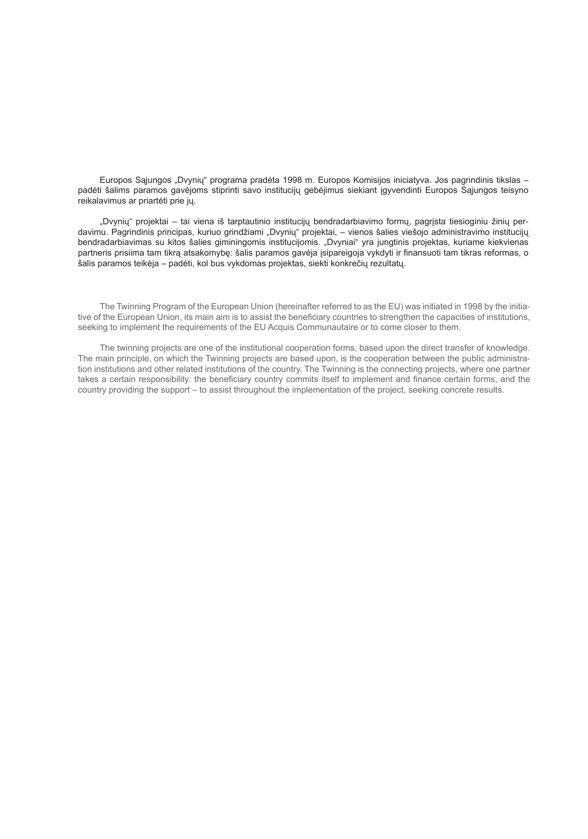Europos Sąjungos "Dvynių" programa pradėta 1998 m. Europos Komisijos iniciatyva. Jos pagrindinis tikslas – padėti šalims paramos gavėjoms stiprinti savo institucijų gebėjimus siekiant įgyvendinti Europos Sąjungos teisyno reikalavimus ar priartėti prie jų.

"Dvynių" projektai – tai viena iš tarptautinio institucijų bendradarbiavimo formų, pagrįsta tiesioginiu žinių perdavimu. Pagrindinis principas, kuriuo grindžiami "Dvynių" projektai, – vienos šalies viešojo administravimo institucijų bendradarbiavimas su kitos šalies giminingomis institucijomis. "Dvyniai" yra jungtinis projektas, kuriame kiekvienas partneris prisiima tam tikrą atsakomybę: šalis paramos gavėja įsipareigoja vykdyti ir finansuoti tam tikras reformas, o šalis paramos teikėja – padėti, kol bus vykdomas projektas, siekti konkrečių rezultatų.

The Twinning Program of the European Union (hereinafter referred to as the EU) was initiated in 1998 by the initiative of the European Union, its main aim is to assist the beneficiary countries to strengthen the capacities of institutions, seeking to implement the requirements of the EU Acquis Communautaire or to come closer to them.

The twinning projects are one of the institutional cooperation forms, based upon the direct transfer of knowledge. The main principle, on which the Twinning projects are based upon, is the cooperation between the public administration institutions and other related institutions of the country. The Twinning is the connecting projects, where one partner takes a certain responsibility: the beneficiary country commits itself to implement and finance certain forms, and the country providing the support – to assist throughout the implementation of the project, seeking concrete results.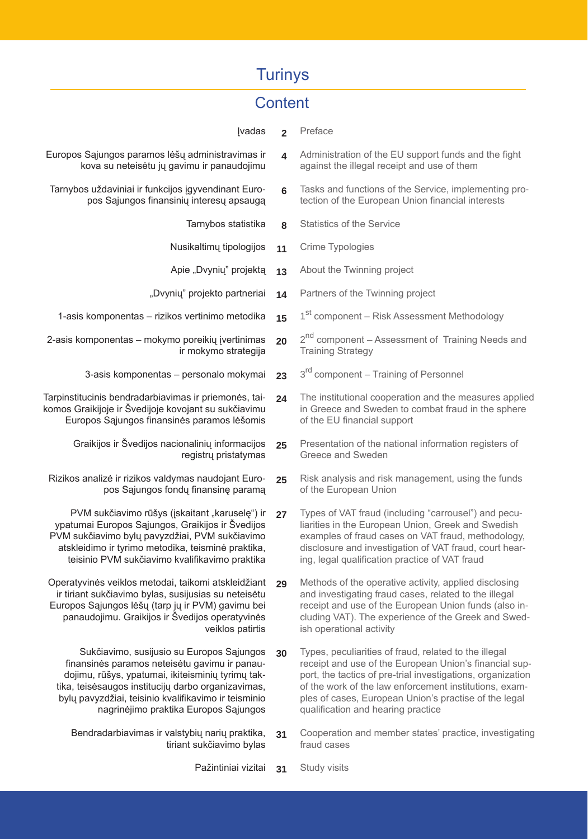## **Turinys**

#### **Content**

- **Ivadas 2** Preface
- Europos Sąjungos paramos lėšų administravimas ir kova su neteisėtu jų gavimu ir panaudojimu
- Tarnybos uždaviniai ir funkcijos įgyvendinant Europos Sąjungos finansinių interesų apsaugą
	- Tarnybos statistika **8**
	- Nusikaltimų tipologijos **11**
	- Apie "Dvynių" projektą **13**
	- "Dvynių" projekto partneriai **14**
	- 1-asis komponentas rizikos vertinimo metodika **15**
- 2-asis komponentas mokymo poreikių įvertinimas ir mokymo strategija **20**
	- 3-asis komponentas personalo mokymai **23**
- Tarpinstitucinis bendradarbiavimas ir priemonės, taikomos Graikijoje ir Švedijoje kovojant su sukčiavimu Europos Sąjungos finansinės paramos lėšomis **24**
	- Graikijos ir Švedijos nacionalinių informacijos registrų pristatymas **25**
	- Rizikos analizė ir rizikos valdymas naudojant Europos Sąjungos fondų finansinę paramą **25**
	- PVM sukčiavimo rūšys (įskaitant "karuselę") ir ypatumai Europos Sąjungos, Graikijos ir Švedijos PVM sukčiavimo bylų pavyzdžiai, PVM sukčiavimo atskleidimo ir tyrimo metodika, teisminė praktika, teisinio PVM sukčiavimo kvalifikavimo praktika **27**
	- Operatyvinės veiklos metodai, taikomi atskleidžiant ir tiriant sukčiavimo bylas, susijusias su neteisėtu Europos Sąjungos lėšų (tarp jų ir PVM) gavimu bei panaudojimu. Graikijos ir Švedijos operatyvinės veiklos patirtis **29**
	- Sukčiavimo, susijusio su Europos Sąjungos finansinės paramos neteisėtu gavimu ir panaudojimu, rūšys, ypatumai, ikiteisminių tyrimų taktika, teisėsaugos institucijų darbo organizavimas, bylų pavyzdžiai, teisinio kvalifikavimo ir teisminio nagrinėjimo praktika Europos Sąjungos **30**
		- Bendradarbiavimas ir valstybių narių praktika, tiriant sukčiavimo bylas **31**
- **4** Administration of the EU support funds and the fight against the illegal receipt and use of them
- **6** Tasks and functions of the Service, implementing protection of the European Union financial interests
- Statistics of the Service
- Crime Typologies
	- About the Twinning project
	- Partners of the Twinning project
		- 1<sup>st</sup> component Risk Assessment Methodology
		- $2<sup>nd</sup>$  component Assessment of Training Needs and Training Strategy
	- 3<sup>rd</sup> component Training of Personnel
	- The institutional cooperation and the measures applied in Greece and Sweden to combat fraud in the sphere of the EU financial support
	- Presentation of the national information registers of Greece and Sweden
	- Risk analysis and risk management, using the funds of the European Union
	- Types of VAT fraud (including "carrousel") and peculiarities in the European Union, Greek and Swedish examples of fraud cases on VAT fraud, methodology, disclosure and investigation of VAT fraud, court hearing, legal qualification practice of VAT fraud
- Methods of the operative activity, applied disclosing and investigating fraud cases, related to the illegal receipt and use of the European Union funds (also including VAT). The experience of the Greek and Swedish operational activity
- Types, peculiarities of fraud, related to the illegal receipt and use of the European Union's financial support, the tactics of pre-trial investigations, organization of the work of the law enforcement institutions, examples of cases, European Union's practise of the legal qualification and hearing practice
- Cooperation and member states' practice, investigating fraud cases
- Pažintiniai vizitai **31** Study visits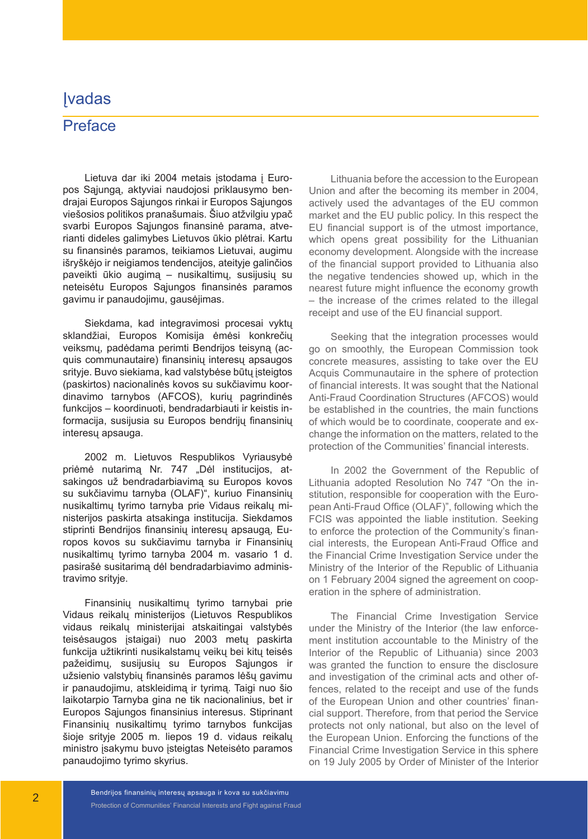#### Įvadas

#### Preface

Lietuva dar iki 2004 metais įstodama į Europos Sąjungą, aktyviai naudojosi priklausymo bendrajai Europos Sąjungos rinkai ir Europos Sąjungos viešosios politikos pranašumais. Šiuo atžvilgiu ypač svarbi Europos Sąjungos finansinė parama, atverianti dideles galimybes Lietuvos ūkio plėtrai. Kartu su finansinės paramos, teikiamos Lietuvai, augimu išryškėjo ir neigiamos tendencijos, ateityje galinčios paveikti ūkio augimą – nusikaltimų, susijusių su neteisėtu Europos Sąjungos finansinės paramos gavimu ir panaudojimu, gausėjimas.

Siekdama, kad integravimosi procesai vyktų sklandžiai, Europos Komisija ėmėsi konkrečių veiksmų, padėdama perimti Bendrijos teisyną (acquis communautaire) finansinių interesų apsaugos srityje. Buvo siekiama, kad valstybėse būtų įsteigtos (paskirtos) nacionalinės kovos su sukčiavimu koordinavimo tarnybos (AFCOS), kurių pagrindinės funkcijos – koordinuoti, bendradarbiauti ir keistis informacija, susijusia su Europos bendrijų finansinių interesų apsauga.

2002 m. Lietuvos Respublikos Vyriausybė priėmė nutarimą Nr. 747 "Dėl institucijos, atsakingos už bendradarbiavimą su Europos kovos su sukčiavimu tarnyba (OLAF)", kuriuo Finansinių nusikaltimų tyrimo tarnyba prie Vidaus reikalų ministerijos paskirta atsakinga institucija. Siekdamos stiprinti Bendrijos finansinių interesų apsaugą, Europos kovos su sukčiavimu tarnyba ir Finansinių nusikaltimų tyrimo tarnyba 2004 m. vasario 1 d. pasirašė susitarimą dėl bendradarbiavimo administravimo srityje.

Finansinių nusikaltimų tyrimo tarnybai prie Vidaus reikalų ministerijos (Lietuvos Respublikos vidaus reikalų ministerijai atskaitingai valstybės teisėsaugos įstaigai) nuo 2003 metų paskirta funkcija užtikrinti nusikalstamų veikų bei kitų teisės pažeidimų, susijusių su Europos Sąjungos ir užsienio valstybių finansinės paramos lėšų gavimu ir panaudojimu, atskleidimą ir tyrimą. Taigi nuo šio laikotarpio Tarnyba gina ne tik nacionalinius, bet ir Europos Sąjungos finansinius interesus. Stiprinant Finansinių nusikaltimų tyrimo tarnybos funkcijas šioje srityje 2005 m. liepos 19 d. vidaus reikalų ministro įsakymu buvo įsteigtas Neteisėto paramos panaudojimo tyrimo skyrius.

Lithuania before the accession to the European Union and after the becoming its member in 2004, actively used the advantages of the EU common market and the EU public policy. In this respect the EU financial support is of the utmost importance, which opens great possibility for the Lithuanian economy development. Alongside with the increase of the financial support provided to Lithuania also the negative tendencies showed up, which in the nearest future might influence the economy growth – the increase of the crimes related to the illegal receipt and use of the EU financial support.

Seeking that the integration processes would go on smoothly, the European Commission took concrete measures, assisting to take over the EU Acquis Communautaire in the sphere of protection of financial interests. It was sought that the National Anti-Fraud Coordination Structures (AFCOS) would be established in the countries, the main functions of which would be to coordinate, cooperate and exchange the information on the matters, related to the protection of the Communities' financial interests.

In 2002 the Government of the Republic of Lithuania adopted Resolution No 747 "On the institution, responsible for cooperation with the European Anti-Fraud Office (OLAF)", following which the FCIS was appointed the liable institution. Seeking to enforce the protection of the Community's financial interests, the European Anti-Fraud Office and the Financial Crime Investigation Service under the Ministry of the Interior of the Republic of Lithuania on 1 February 2004 signed the agreement on cooperation in the sphere of administration.

The Financial Crime Investigation Service under the Ministry of the Interior (the law enforcement institution accountable to the Ministry of the Interior of the Republic of Lithuania) since 2003 was granted the function to ensure the disclosure and investigation of the criminal acts and other offences, related to the receipt and use of the funds of the European Union and other countries' financial support. Therefore, from that period the Service protects not only national, but also on the level of the European Union. Enforcing the functions of the Financial Crime Investigation Service in this sphere on 19 July 2005 by Order of Minister of the Interior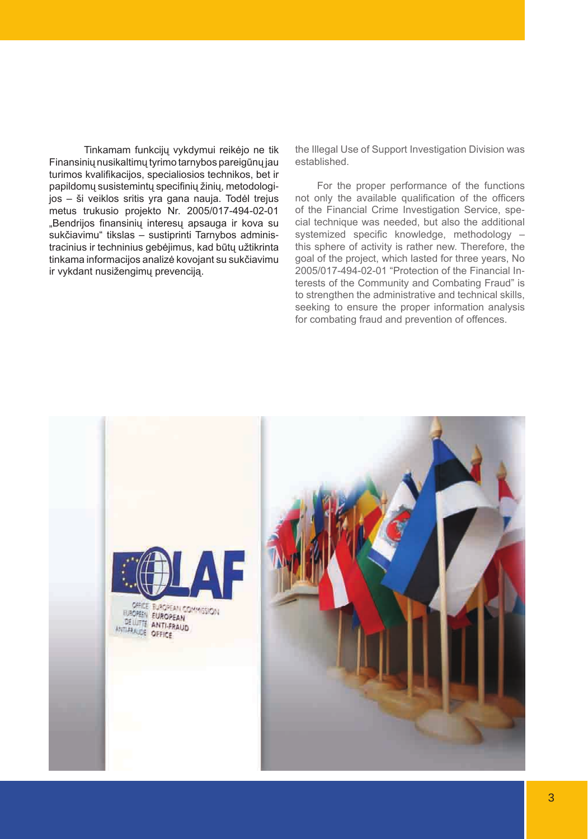Tinkamam funkcijų vykdymui reikėjo ne tik Finansinių nusikaltimų tyrimo tarnybos pareigūnų jau turimos kvalifikacijos, specialiosios technikos, bet ir papildomų susistemintų specifinių žinių, metodologijos – ši veiklos sritis yra gana nauja. Todėl trejus metus trukusio projekto Nr. 2005/017-494-02-01 "Bendrijos finansinių interesų apsauga ir kova su sukčiavimu" tikslas – sustiprinti Tarnybos administracinius ir techninius gebėjimus, kad būtų užtikrinta tinkama informacijos analizė kovojant su sukčiavimu ir vykdant nusižengimų prevenciją.

the Illegal Use of Support Investigation Division was established.

For the proper performance of the functions not only the available qualification of the officers of the Financial Crime Investigation Service, special technique was needed, but also the additional systemized specific knowledge, methodology – this sphere of activity is rather new. Therefore, the goal of the project, which lasted for three years, No 2005/017-494-02-01 "Protection of the Financial Interests of the Community and Combating Fraud" is to strengthen the administrative and technical skills, seeking to ensure the proper information analysis for combating fraud and prevention of offences.

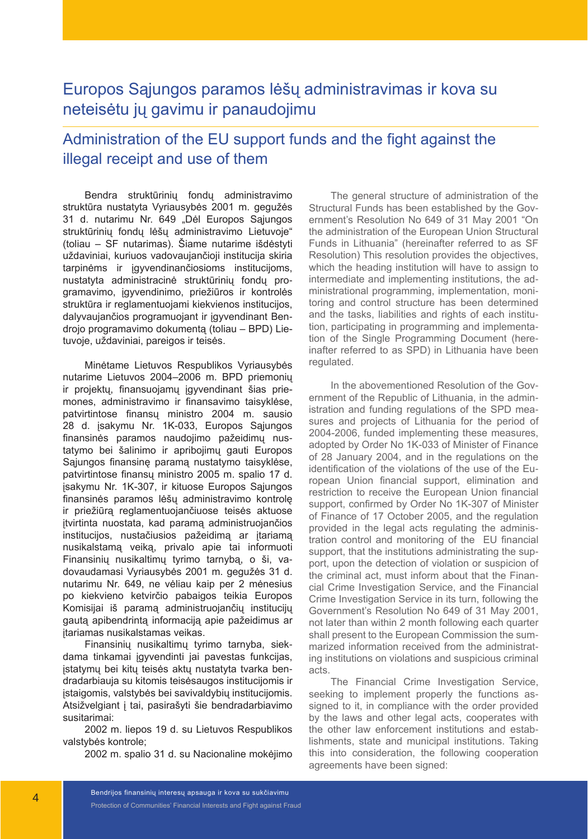## Europos Sąjungos paramos lėšų administravimas ir kova su neteisėtu jų gavimu ir panaudojimu

## Administration of the EU support funds and the fight against the illegal receipt and use of them

Bendra struktūrinių fondų administravimo struktūra nustatyta Vyriausybės 2001 m. gegužės 31 d. nutarimu Nr. 649 "Dėl Europos Sąjungos struktūrinių fondų lėšų administravimo Lietuvoje" (toliau – SF nutarimas). Šiame nutarime išdėstyti uždaviniai, kuriuos vadovaujančioji institucija skiria tarpinėms ir įgyvendinančiosioms institucijoms, nustatyta administracinė struktūrinių fondų programavimo, įgyvendinimo, priežiūros ir kontrolės struktūra ir reglamentuojami kiekvienos institucijos, dalyvaujančios programuojant ir įgyvendinant Bendrojo programavimo dokumentą (toliau – BPD) Lietuvoje, uždaviniai, pareigos ir teisės.

Minėtame Lietuvos Respublikos Vyriausybės nutarime Lietuvos 2004–2006 m. BPD priemonių ir projektų, finansuojamų įgyvendinant šias priemones, administravimo ir finansavimo taisyklėse, patvirtintose finansų ministro 2004 m. sausio 28 d. įsakymu Nr. 1K-033, Europos Sąjungos finansinės paramos naudojimo pažeidimų nustatymo bei šalinimo ir apribojimų gauti Europos Sąjungos finansinę paramą nustatymo taisyklėse, patvirtintose finansų ministro 2005 m. spalio 17 d. įsakymu Nr. 1K-307, ir kituose Europos Sąjungos finansinės paramos lėšų administravimo kontrolę ir priežiūrą reglamentuojančiuose teisės aktuose įtvirtinta nuostata, kad paramą administruojančios institucijos, nustačiusios pažeidimą ar įtariamą nusikalstamą veiką, privalo apie tai informuoti Finansinių nusikaltimų tyrimo tarnybą, o ši, vadovaudamasi Vyriausybės 2001 m. gegužės 31 d. nutarimu Nr. 649, ne vėliau kaip per 2 mėnesius po kiekvieno ketvirčio pabaigos teikia Europos Komisijai iš paramą administruojančių institucijų gautą apibendrintą informaciją apie pažeidimus ar įtariamas nusikalstamas veikas.

Finansinių nusikaltimų tyrimo tarnyba, siekdama tinkamai įgyvendinti jai pavestas funkcijas, įstatymų bei kitų teisės aktų nustatyta tvarka bendradarbiauja su kitomis teisėsaugos institucijomis ir įstaigomis, valstybės bei savivaldybių institucijomis. Atsižvelgiant į tai, pasirašyti šie bendradarbiavimo susitarimai:

2002 m. liepos 19 d. su Lietuvos Respublikos valstybės kontrole;

2002 m. spalio 31 d. su Nacionaline mokėjimo

The general structure of administration of the Structural Funds has been established by the Government's Resolution No 649 of 31 May 2001 "On the administration of the European Union Structural Funds in Lithuania" (hereinafter referred to as SF Resolution) This resolution provides the objectives, which the heading institution will have to assign to intermediate and implementing institutions, the administrational programming, implementation, monitoring and control structure has been determined and the tasks, liabilities and rights of each institution, participating in programming and implementation of the Single Programming Document (hereinafter referred to as SPD) in Lithuania have been regulated.

In the abovementioned Resolution of the Government of the Republic of Lithuania, in the administration and funding regulations of the SPD measures and projects of Lithuania for the period of 2004-2006, funded implementing these measures, adopted by Order No 1K-033 of Minister of Finance of 28 January 2004, and in the regulations on the identification of the violations of the use of the European Union financial support, elimination and restriction to receive the European Union financial support, confirmed by Order No 1K-307 of Minister of Finance of 17 October 2005, and the regulation provided in the legal acts regulating the administration control and monitoring of the EU financial support, that the institutions administrating the support, upon the detection of violation or suspicion of the criminal act, must inform about that the Financial Crime Investigation Service, and the Financial Crime Investigation Service in its turn, following the Government's Resolution No 649 of 31 May 2001, not later than within 2 month following each quarter shall present to the European Commission the summarized information received from the administrating institutions on violations and suspicious criminal acts.

The Financial Crime Investigation Service, seeking to implement properly the functions assigned to it, in compliance with the order provided by the laws and other legal acts, cooperates with the other law enforcement institutions and establishments, state and municipal institutions. Taking this into consideration, the following cooperation agreements have been signed: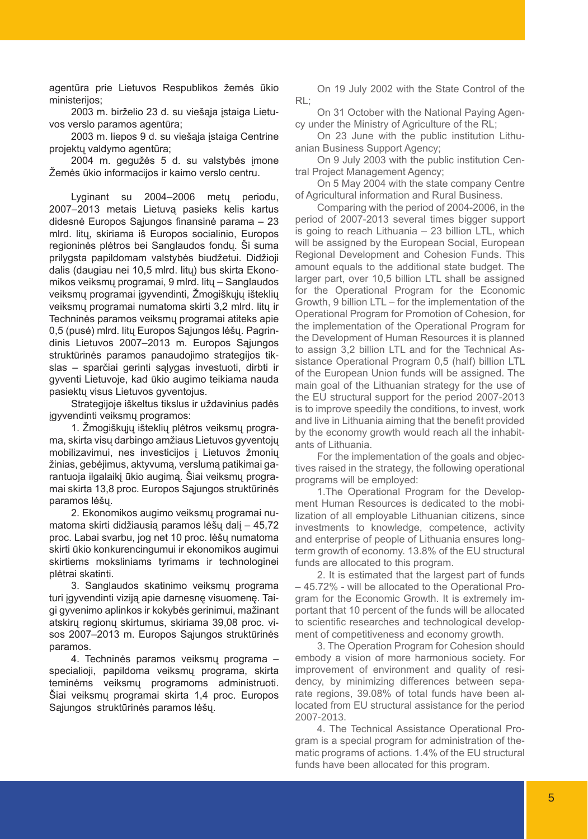agentūra prie Lietuvos Respublikos žemės ūkio ministerijos;

2003 m. birželio 23 d. su viešąja įstaiga Lietuvos verslo paramos agentūra;

2003 m. liepos 9 d. su viešąja įstaiga Centrine projektų valdymo agentūra;

2004 m. gegužės 5 d. su valstybės įmone Žemės ūkio informacijos ir kaimo verslo centru.

Lyginant su 2004–2006 metų periodu, 2007–2013 metais Lietuvą pasieks kelis kartus didesnė Europos Sąjungos finansinė parama – 23 mlrd. litų, skiriama iš Europos socialinio, Europos regioninės plėtros bei Sanglaudos fondų. Ši suma prilygsta papildomam valstybės biudžetui. Didžioji dalis (daugiau nei 10,5 mlrd. litų) bus skirta Ekonomikos veiksmų programai, 9 mlrd. litų – Sanglaudos veiksmų programai įgyvendinti, Žmogiškųjų išteklių veiksmų programai numatoma skirti 3,2 mlrd. litų ir Techninės paramos veiksmų programai atiteks apie 0,5 (pusė) mlrd. litų Europos Sąjungos lėšų. Pagrindinis Lietuvos 2007–2013 m. Europos Sąjungos struktūrinės paramos panaudojimo strategijos tikslas – sparčiai gerinti sąlygas investuoti, dirbti ir gyventi Lietuvoje, kad ūkio augimo teikiama nauda pasiektų visus Lietuvos gyventojus.

Strategijoje iškeltus tikslus ir uždavinius padės įgyvendinti veiksmų programos:

1. Žmogiškųjų išteklių plėtros veiksmų programa, skirta visų darbingo amžiaus Lietuvos gyventojų mobilizavimui, nes investicijos į Lietuvos žmonių žinias, gebėjimus, aktyvumą, verslumą patikimai garantuoja ilgalaikį ūkio augimą. Šiai veiksmų programai skirta 13,8 proc. Europos Sąjungos struktūrinės paramos lėšų.

2. Ekonomikos augimo veiksmų programai numatoma skirti didžiausią paramos lėšų dalį – 45,72 proc. Labai svarbu, jog net 10 proc. lėšų numatoma skirti ūkio konkurencingumui ir ekonomikos augimui skirtiems moksliniams tyrimams ir technologinei plėtrai skatinti.

3. Sanglaudos skatinimo veiksmų programa turi įgyvendinti viziją apie darnesnę visuomenę. Taigi gyvenimo aplinkos ir kokybės gerinimui, mažinant atskirų regionų skirtumus, skiriama 39,08 proc. visos 2007–2013 m. Europos Sąjungos struktūrinės paramos.

4. Techninės paramos veiksmų programa – specialioji, papildoma veiksmų programa, skirta teminėms veiksmų programoms administruoti. Šiai veiksmų programai skirta 1,4 proc. Europos Sąjungos struktūrinės paramos lėšų.

On 19 July 2002 with the State Control of the RL;

On 31 October with the National Paying Agency under the Ministry of Agriculture of the RL;

On 23 June with the public institution Lithuanian Business Support Agency;

On 9 July 2003 with the public institution Central Project Management Agency;

On 5 May 2004 with the state company Centre of Agricultural information and Rural Business.

Comparing with the period of 2004-2006, in the period of 2007-2013 several times bigger support is going to reach Lithuania – 23 billion LTL, which will be assigned by the European Social, European Regional Development and Cohesion Funds. This amount equals to the additional state budget. The larger part, over 10,5 billion LTL shall be assigned for the Operational Program for the Economic Growth, 9 billion LTL – for the implementation of the Operational Program for Promotion of Cohesion, for the implementation of the Operational Program for the Development of Human Resources it is planned to assign 3,2 billion LTL and for the Technical Assistance Operational Program 0,5 (half) billion LTL of the European Union funds will be assigned. The main goal of the Lithuanian strategy for the use of the EU structural support for the period 2007-2013 is to improve speedily the conditions, to invest, work and live in Lithuania aiming that the benefit provided by the economy growth would reach all the inhabitants of Lithuania.

For the implementation of the goals and objectives raised in the strategy, the following operational programs will be employed:

1.The Operational Program for the Development Human Resources is dedicated to the mobilization of all employable Lithuanian citizens, since investments to knowledge, competence, activity and enterprise of people of Lithuania ensures longterm growth of economy. 13.8% of the EU structural funds are allocated to this program.

2. It is estimated that the largest part of funds – 45.72% - will be allocated to the Operational Program for the Economic Growth. It is extremely important that 10 percent of the funds will be allocated to scientific researches and technological development of competitiveness and economy growth.

3. The Operation Program for Cohesion should embody a vision of more harmonious society. For improvement of environment and quality of residency, by minimizing differences between separate regions, 39.08% of total funds have been allocated from EU structural assistance for the period 2007-2013.

4. The Technical Assistance Operational Program is a special program for administration of thematic programs of actions. 1.4% of the EU structural funds have been allocated for this program.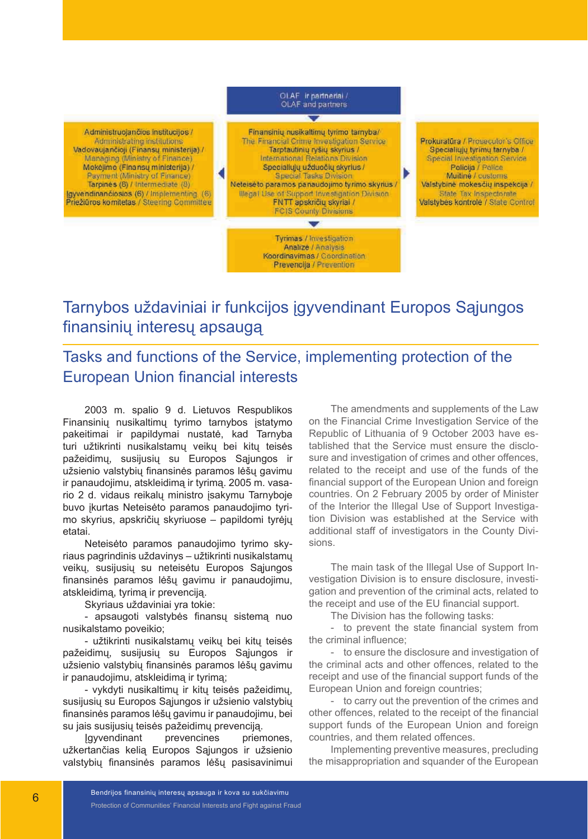OLAF ir partneriai / OLAF and partners Finansinių nusikaltimų tyrimo tamyba/ Administruojančios institucijos / The Financial Crime Investigation Service Prokuratūra / Prosecutor's Office Administrating institutions Vadovaujančioji (Finansų ministerija) / Tarptautinių ryšių skyrius / Specialiuju tyrimų tarnyba / Managing (Ministry of Finance) International Relations Division Special Investigation Service Mokejimo (Finansų ministerija) / Specialiųjų užduočių skyrius / Policija / Police Payment (Ministry of Finance) **Special Tasks Division** Muitine / customs Tarpinés (8) / Intermediate (8) Neteisėto paramos panaudojimo tyrimo skyrius / Valstybinė mokesčių inspekcija / Igyvendinančiosios (6) / Implementing (6)<br>Priežiūros komitetas / Steering Committee Illegal Use of Support Investigation Division State Tax Inspectorate FNTT apskričių skyriai / Valstybės kontrolė / State Control **FCIS County Divisions**  $\blacksquare$ Tyrimas / Investigation Analize / Analysis Koordinavimas / Coordination Prevencija / Prevention

## Tarnybos uždaviniai ir funkcijos įgyvendinant Europos Sąjungos finansinių interesų apsaugą

Tasks and functions of the Service, implementing protection of the European Union financial interests

2003 m. spalio 9 d. Lietuvos Respublikos Finansinių nusikaltimų tyrimo tarnybos įstatymo pakeitimai ir papildymai nustatė, kad Tarnyba turi užtikrinti nusikalstamų veikų bei kitų teisės pažeidimų, susijusių su Europos Sąjungos ir užsienio valstybių finansinės paramos lėšų gavimu ir panaudojimu, atskleidimą ir tyrimą. 2005 m. vasario 2 d. vidaus reikalų ministro įsakymu Tarnyboje buvo įkurtas Neteisėto paramos panaudojimo tyrimo skyrius, apskričių skyriuose – papildomi tyrėjų etatai.

Neteisėto paramos panaudojimo tyrimo skyriaus pagrindinis uždavinys – užtikrinti nusikalstamų veikų, susijusių su neteisėtu Europos Sąjungos finansinės paramos lėšų gavimu ir panaudojimu, atskleidimą, tyrimą ir prevenciją.

Skyriaus uždaviniai yra tokie:

- apsaugoti valstybės finansų sistemą nuo nusikalstamo poveikio;

- užtikrinti nusikalstamų veikų bei kitų teisės pažeidimų, susijusių su Europos Sąjungos ir užsienio valstybių finansinės paramos lėšų gavimu ir panaudojimu, atskleidimą ir tyrimą;

- vykdyti nusikaltimų ir kitų teisės pažeidimų, susijusių su Europos Sąjungos ir užsienio valstybių finansinės paramos lėšų gavimu ir panaudojimu, bei su jais susijusių teisės pažeidimų prevenciją.

Įgyvendinant prevencines priemones, užkertančias kelią Europos Sąjungos ir užsienio valstybių finansinės paramos lėšų pasisavinimui

The amendments and supplements of the Law on the Financial Crime Investigation Service of the Republic of Lithuania of 9 October 2003 have established that the Service must ensure the disclosure and investigation of crimes and other offences, related to the receipt and use of the funds of the financial support of the European Union and foreign countries. On 2 February 2005 by order of Minister of the Interior the Illegal Use of Support Investigation Division was established at the Service with additional staff of investigators in the County Divisions.

The main task of the Illegal Use of Support Investigation Division is to ensure disclosure, investigation and prevention of the criminal acts, related to the receipt and use of the EU financial support.

The Division has the following tasks:

- to prevent the state financial system from the criminal influence;

- to ensure the disclosure and investigation of the criminal acts and other offences, related to the receipt and use of the financial support funds of the European Union and foreign countries;

- to carry out the prevention of the crimes and other offences, related to the receipt of the financial support funds of the European Union and foreign countries, and them related offences.

Implementing preventive measures, precluding the misappropriation and squander of the European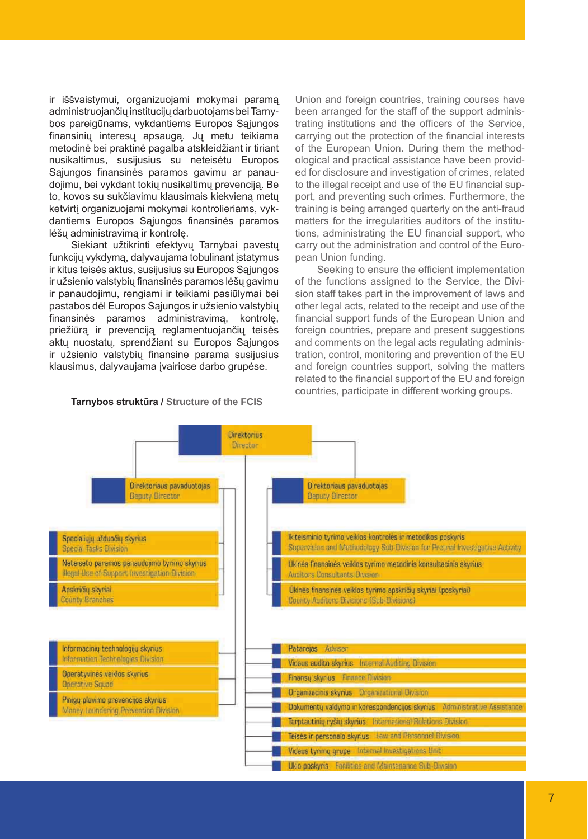ir iššvaistymui, organizuojami mokymai paramą administruojančių institucijų darbuotojams bei Tarnybos pareigūnams, vykdantiems Europos Sąjungos finansinių interesų apsaugą. Jų metu teikiama metodinė bei praktinė pagalba atskleidžiant ir tiriant nusikaltimus, susijusius su neteisėtu Europos Sajungos finansinės paramos gavimu ar panaudojimu, bei vykdant tokių nusikaltimų prevenciją. Be to, kovos su sukčiavimu klausimais kiekvieną metų ketvirtį organizuojami mokymai kontrolieriams, vykdantiems Europos Sąjungos finansinės paramos lėšų administravimą ir kontrolę.

Siekiant užtikrinti efektyvų Tarnybai pavestų funkcijų vykdymą, dalyvaujama tobulinant įstatymus ir kitus teisės aktus, susijusius su Europos Sąjungos ir užsienio valstybių finansinės paramos lėšų gavimu ir panaudojimu, rengiami ir teikiami pasiūlymai bei pastabos dėl Europos Sąjungos ir užsienio valstybių finansinės paramos administravimą, kontrolę, priežiūrą ir prevenciją reglamentuojančių teisės aktų nuostatų, sprendžiant su Europos Sąjungos ir užsienio valstybių finansine parama susijusius klausimus, dalyvaujama įvairiose darbo grupėse.

#### **Tarnybos struktūra / Structure of the FCIS**

Union and foreign countries, training courses have been arranged for the staff of the support administrating institutions and the officers of the Service, carrying out the protection of the financial interests of the European Union. During them the methodological and practical assistance have been provided for disclosure and investigation of crimes, related to the illegal receipt and use of the EU financial support, and preventing such crimes. Furthermore, the training is being arranged quarterly on the anti-fraud matters for the irregularities auditors of the institutions, administrating the EU financial support, who carry out the administration and control of the European Union funding.

Seeking to ensure the efficient implementation of the functions assigned to the Service, the Division staff takes part in the improvement of laws and other legal acts, related to the receipt and use of the financial support funds of the European Union and foreign countries, prepare and present suggestions and comments on the legal acts regulating administration, control, monitoring and prevention of the EU and foreign countries support, solving the matters related to the financial support of the EU and foreign countries, participate in different working groups.

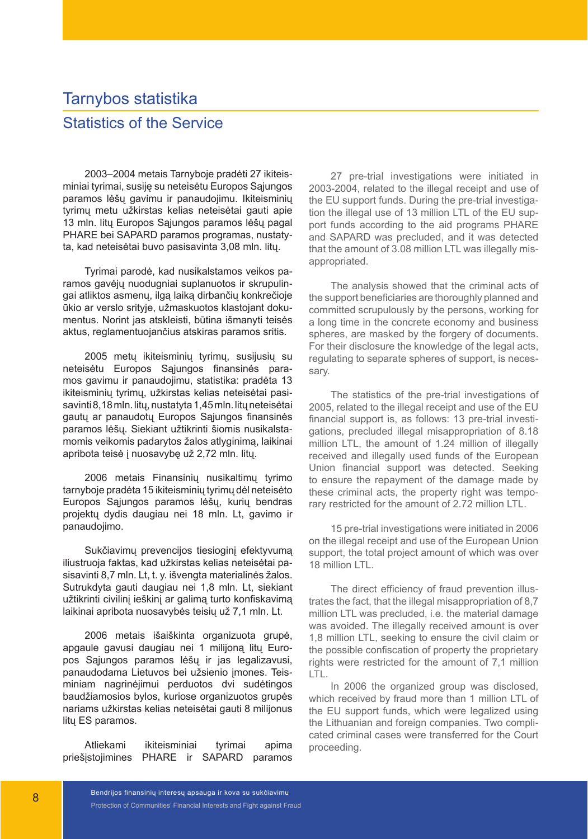# Tarnybos statistika Statistics of the Service

2003–2004 metais Tarnyboje pradėti 27 ikiteisminiai tyrimai, susiję su neteisėtu Europos Sąjungos paramos lėšų gavimu ir panaudojimu. Ikiteisminių tyrimų metu užkirstas kelias neteisėtai gauti apie 13 mln. litų Europos Sąjungos paramos lėšų pagal PHARE bei SAPARD paramos programas, nustatyta, kad neteisėtai buvo pasisavinta 3,08 mln. litų.

Tyrimai parodė, kad nusikalstamos veikos paramos gavėjų nuodugniai suplanuotos ir skrupulingai atliktos asmenų, ilgą laiką dirbančių konkrečioje ūkio ar verslo srityje, užmaskuotos klastojant dokumentus. Norint jas atskleisti, būtina išmanyti teisės aktus, reglamentuojančius atskiras paramos sritis.

2005 metų ikiteisminių tyrimų, susijusių su neteisėtu Europos Sąjungos finansinės paramos gavimu ir panaudojimu, statistika: pradėta 13 ikiteisminių tyrimų, užkirstas kelias neteisėtai pasisavinti 8,18 mln. litų, nustatyta 1,45 mln. litų neteisėtai gautų ar panaudotų Europos Sąjungos finansinės paramos lėšų. Siekiant užtikrinti šiomis nusikalstamomis veikomis padarytos žalos atlyginimą, laikinai apribota teisė į nuosavybę už 2,72 mln. litų.

2006 metais Finansinių nusikaltimų tyrimo tarnyboje pradėta 15 ikiteisminių tyrimų dėl neteisėto Europos Sąjungos paramos lėšų, kurių bendras projektų dydis daugiau nei 18 mln. Lt, gavimo ir panaudojimo.

Sukčiavimų prevencijos tiesioginį efektyvumą iliustruoja faktas, kad užkirstas kelias neteisėtai pasisavinti 8,7 mln. Lt, t. y. išvengta materialinės žalos. Sutrukdyta gauti daugiau nei 1,8 mln. Lt, siekiant užtikrinti civilinį ieškinį ar galimą turto konfiskavimą laikinai apribota nuosavybės teisių už 7,1 mln. Lt.

2006 metais išaiškinta organizuota grupė, apgaule gavusi daugiau nei 1 milijoną litų Europos Sąjungos paramos lėšų ir jas legalizavusi, panaudodama Lietuvos bei užsienio įmones. Teisminiam nagrinėjimui perduotos dvi sudėtingos baudžiamosios bylos, kuriose organizuotos grupės nariams užkirstas kelias neteisėtai gauti 8 milijonus litų ES paramos.

Atliekami ikiteisminiai tyrimai apima priešįstojimines PHARE ir SAPARD paramos

27 pre-trial investigations were initiated in 2003-2004, related to the illegal receipt and use of the EU support funds. During the pre-trial investigation the illegal use of 13 million LTL of the EU support funds according to the aid programs PHARE and SAPARD was precluded, and it was detected that the amount of 3.08 million LTL was illegally misappropriated.

The analysis showed that the criminal acts of the support beneficiaries are thoroughly planned and committed scrupulously by the persons, working for a long time in the concrete economy and business spheres, are masked by the forgery of documents. For their disclosure the knowledge of the legal acts, regulating to separate spheres of support, is necessary.

The statistics of the pre-trial investigations of 2005, related to the illegal receipt and use of the EU financial support is, as follows: 13 pre-trial investigations, precluded illegal misappropriation of 8.18 million LTL, the amount of 1.24 million of illegally received and illegally used funds of the European Union financial support was detected. Seeking to ensure the repayment of the damage made by these criminal acts, the property right was temporary restricted for the amount of 2.72 million LTL.

15 pre-trial investigations were initiated in 2006 on the illegal receipt and use of the European Union support, the total project amount of which was over 18 million LTL.

The direct efficiency of fraud prevention illustrates the fact, that the illegal misappropriation of 8,7 million LTL was precluded, i.e. the material damage was avoided. The illegally received amount is over 1,8 million LTL, seeking to ensure the civil claim or the possible confiscation of property the proprietary rights were restricted for the amount of 7,1 million LTL.

In 2006 the organized group was disclosed, which received by fraud more than 1 million LTL of the EU support funds, which were legalized using the Lithuanian and foreign companies. Two complicated criminal cases were transferred for the Court proceeding.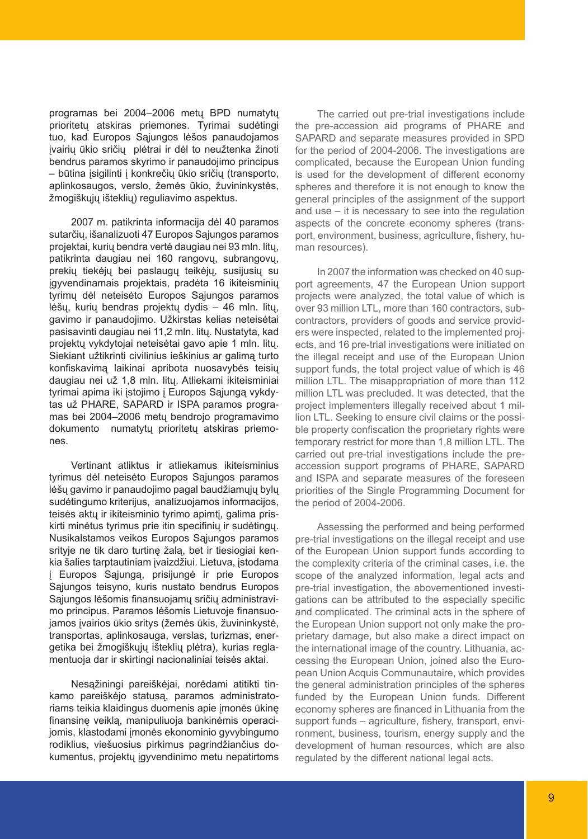programas bei 2004–2006 metų BPD numatytų prioritetų atskiras priemones. Tyrimai sudėtingi tuo, kad Europos Sąjungos lėšos panaudojamos įvairių ūkio sričių plėtrai ir dėl to neužtenka žinoti bendrus paramos skyrimo ir panaudojimo principus – būtina įsigilinti į konkrečių ūkio sričių (transporto, aplinkosaugos, verslo, žemės ūkio, žuvininkystės, žmogiškųjų išteklių) reguliavimo aspektus.

2007 m. patikrinta informacija dėl 40 paramos sutarčių, išanalizuoti 47 Europos Sąjungos paramos projektai, kurių bendra vertė daugiau nei 93 mln. litų, patikrinta daugiau nei 160 rangovų, subrangovų, prekių tiekėjų bei paslaugų teikėjų, susijusių su įgyvendinamais projektais, pradėta 16 ikiteisminių tyrimų dėl neteisėto Europos Sąjungos paramos lėšų, kurių bendras projektų dydis – 46 mln. litų, gavimo ir panaudojimo. Užkirstas kelias neteisėtai pasisavinti daugiau nei 11,2 mln. litų. Nustatyta, kad projektų vykdytojai neteisėtai gavo apie 1 mln. litų. Siekiant užtikrinti civilinius ieškinius ar galimą turto konfiskavimą laikinai apribota nuosavybės teisių daugiau nei už 1,8 mln. litų. Atliekami ikiteisminiai tyrimai apima iki įstojimo į Europos Sąjungą vykdytas už PHARE, SAPARD ir ISPA paramos programas bei 2004–2006 metų bendrojo programavimo dokumento numatytų prioritetų atskiras priemones.

Vertinant atliktus ir atliekamus ikiteisminius tyrimus dėl neteisėto Europos Sąjungos paramos lėšų gavimo ir panaudojimo pagal baudžiamųjų bylų sudėtingumo kriterijus, analizuojamos informacijos, teisės aktų ir ikiteisminio tyrimo apimtį, galima priskirti minėtus tyrimus prie itin specifinių ir sudėtingų. Nusikalstamos veikos Europos Sąjungos paramos srityje ne tik daro turtinę žalą, bet ir tiesiogiai kenkia šalies tarptautiniam įvaizdžiui. Lietuva, įstodama į Europos Sąjungą, prisijungė ir prie Europos Sąjungos teisyno, kuris nustato bendrus Europos Sąjungos lėšomis finansuojamų sričių administravimo principus. Paramos lėšomis Lietuvoje finansuojamos įvairios ūkio sritys (žemės ūkis, žuvininkystė, transportas, aplinkosauga, verslas, turizmas, energetika bei žmogiškųjų išteklių plėtra), kurias reglamentuoja dar ir skirtingi nacionaliniai teisės aktai.

Nesąžiningi pareiškėjai, norėdami atitikti tinkamo pareiškėjo statusą, paramos administratoriams teikia klaidingus duomenis apie įmonės ūkinę finansinę veiklą, manipuliuoja bankinėmis operacijomis, klastodami įmonės ekonominio gyvybingumo rodiklius, viešuosius pirkimus pagrindžiančius dokumentus, projektų įgyvendinimo metu nepatirtoms

The carried out pre-trial investigations include the pre-accession aid programs of PHARE and SAPARD and separate measures provided in SPD for the period of 2004-2006. The investigations are complicated, because the European Union funding is used for the development of different economy spheres and therefore it is not enough to know the general principles of the assignment of the support and use – it is necessary to see into the regulation aspects of the concrete economy spheres (transport, environment, business, agriculture, fishery, human resources).

In 2007 the information was checked on 40 support agreements, 47 the European Union support projects were analyzed, the total value of which is over 93 million LTL, more than 160 contractors, subcontractors, providers of goods and service providers were inspected, related to the implemented projects, and 16 pre-trial investigations were initiated on the illegal receipt and use of the European Union support funds, the total project value of which is 46 million LTL. The misappropriation of more than 112 million LTL was precluded. It was detected, that the project implementers illegally received about 1 million LTL. Seeking to ensure civil claims or the possible property confiscation the proprietary rights were temporary restrict for more than 1,8 million LTL. The carried out pre-trial investigations include the preaccession support programs of PHARE, SAPARD and ISPA and separate measures of the foreseen priorities of the Single Programming Document for the period of 2004-2006.

Assessing the performed and being performed pre-trial investigations on the illegal receipt and use of the European Union support funds according to the complexity criteria of the criminal cases, i.e. the scope of the analyzed information, legal acts and pre-trial investigation, the abovementioned investigations can be attributed to the especially specific and complicated. The criminal acts in the sphere of the European Union support not only make the proprietary damage, but also make a direct impact on the international image of the country. Lithuania, accessing the European Union, joined also the European Union Acquis Communautaire, which provides the general administration principles of the spheres funded by the European Union funds. Different economy spheres are financed in Lithuania from the support funds – agriculture, fishery, transport, environment, business, tourism, energy supply and the development of human resources, which are also regulated by the different national legal acts.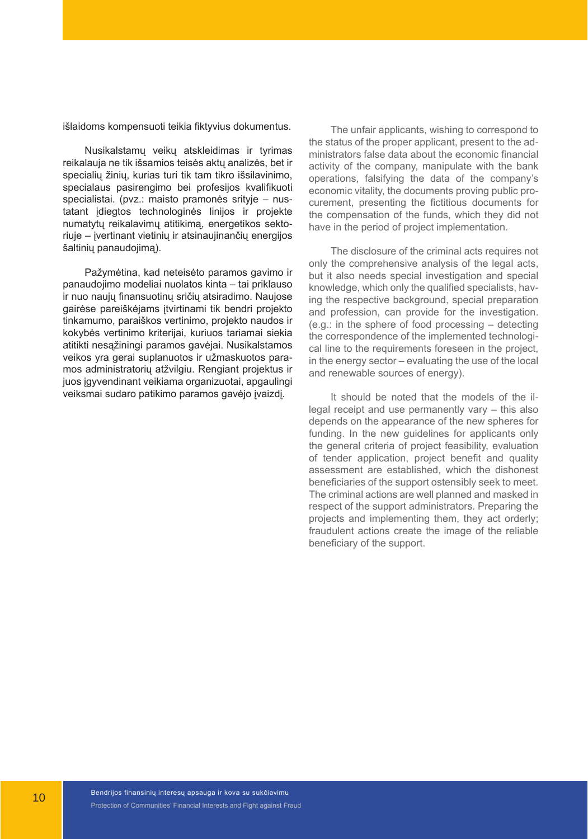išlaidoms kompensuoti teikia fiktyvius dokumentus.

Nusikalstamų veikų atskleidimas ir tyrimas reikalauja ne tik išsamios teisės aktų analizės, bet ir specialių žinių, kurias turi tik tam tikro išsilavinimo, specialaus pasirengimo bei profesijos kvalifikuoti specialistai. (pvz.: maisto pramonės srityje – nustatant įdiegtos technologinės linijos ir projekte numatytų reikalavimų atitikimą, energetikos sektoriuje – įvertinant vietinių ir atsinaujinančių energijos šaltinių panaudojimą).

Pažymėtina, kad neteisėto paramos gavimo ir panaudojimo modeliai nuolatos kinta – tai priklauso ir nuo naujų finansuotinų sričių atsiradimo. Naujose gairėse pareiškėjams įtvirtinami tik bendri projekto tinkamumo, paraiškos vertinimo, projekto naudos ir kokybės vertinimo kriterijai, kuriuos tariamai siekia atitikti nesąžiningi paramos gavėjai. Nusikalstamos veikos yra gerai suplanuotos ir užmaskuotos paramos administratorių atžvilgiu. Rengiant projektus ir juos įgyvendinant veikiama organizuotai, apgaulingi veiksmai sudaro patikimo paramos gavėjo įvaizdį.

The unfair applicants, wishing to correspond to the status of the proper applicant, present to the administrators false data about the economic financial activity of the company, manipulate with the bank operations, falsifying the data of the company's economic vitality, the documents proving public procurement, presenting the fictitious documents for the compensation of the funds, which they did not have in the period of project implementation.

The disclosure of the criminal acts requires not only the comprehensive analysis of the legal acts, but it also needs special investigation and special knowledge, which only the qualified specialists, having the respective background, special preparation and profession, can provide for the investigation. (e.g.: in the sphere of food processing – detecting the correspondence of the implemented technological line to the requirements foreseen in the project, in the energy sector – evaluating the use of the local and renewable sources of energy).

It should be noted that the models of the illegal receipt and use permanently vary – this also depends on the appearance of the new spheres for funding. In the new guidelines for applicants only the general criteria of project feasibility, evaluation of tender application, project benefit and quality assessment are established, which the dishonest beneficiaries of the support ostensibly seek to meet. The criminal actions are well planned and masked in respect of the support administrators. Preparing the projects and implementing them, they act orderly; fraudulent actions create the image of the reliable beneficiary of the support.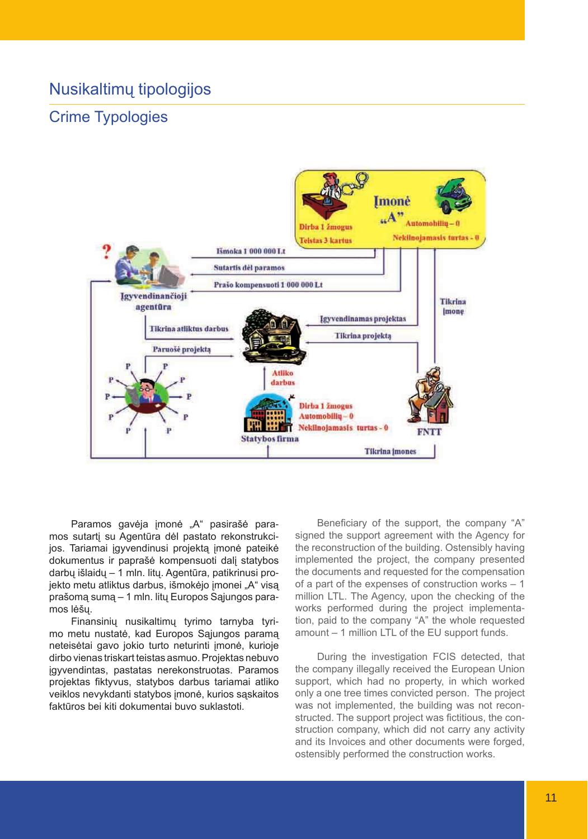## Nusikaltimų tipologijos

## Crime Typologies



Paramos gavėja įmonė "A" pasirašė paramos sutartį su Agentūra dėl pastato rekonstrukcijos. Tariamai įgyvendinusi projektą įmonė pateikė dokumentus ir paprašė kompensuoti dalį statybos darbų išlaidų – 1 mln. litų. Agentūra, patikrinusi projekto metu atliktus darbus, išmokėjo įmonei "A" visą prašomą sumą – 1 mln. litų Europos Sąjungos paramos lėšų.

Finansinių nusikaltimų tyrimo tarnyba tyrimo metu nustatė, kad Europos Sąjungos paramą neteisėtai gavo jokio turto neturinti įmonė, kurioje dirbo vienas triskart teistas asmuo. Projektas nebuvo įgyvendintas, pastatas nerekonstruotas. Paramos projektas fiktyvus, statybos darbus tariamai atliko veiklos nevykdanti statybos įmonė, kurios sąskaitos faktūros bei kiti dokumentai buvo suklastoti.

Beneficiary of the support, the company "A" signed the support agreement with the Agency for the reconstruction of the building. Ostensibly having implemented the project, the company presented the documents and requested for the compensation of a part of the expenses of construction works – 1 million LTL. The Agency, upon the checking of the works performed during the project implementation, paid to the company "A" the whole requested amount – 1 million LTL of the EU support funds.

During the investigation FCIS detected, that the company illegally received the European Union support, which had no property, in which worked only a one tree times convicted person. The project was not implemented, the building was not reconstructed. The support project was fictitious, the construction company, which did not carry any activity and its Invoices and other documents were forged, ostensibly performed the construction works.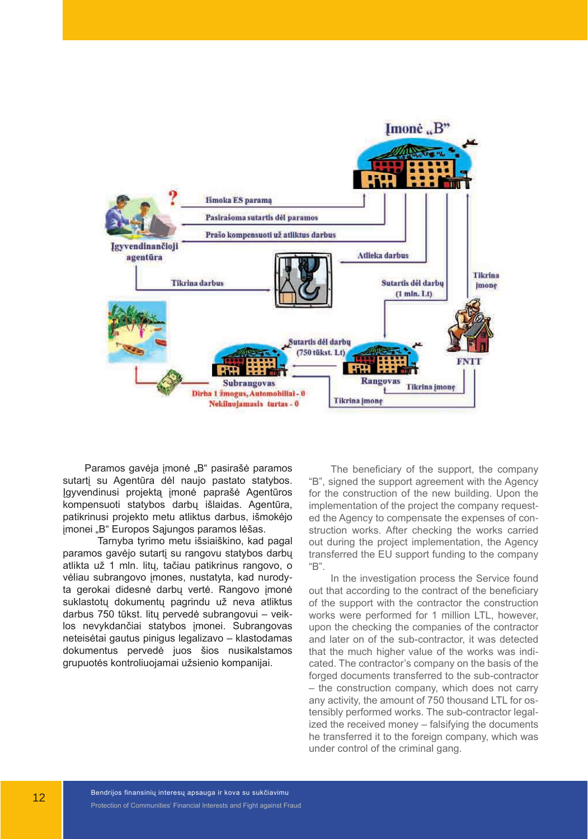

Paramos gavėja įmonė "B" pasirašė paramos sutartį su Agentūra dėl naujo pastato statybos. Įgyvendinusi projektą įmonė paprašė Agentūros kompensuoti statybos darbų išlaidas. Agentūra, patikrinusi projekto metu atliktus darbus, išmokėjo įmonei "B" Europos Sąjungos paramos lėšas.

Tarnyba tyrimo metu išsiaiškino, kad pagal paramos gavėjo sutartį su rangovu statybos darbų atlikta už 1 mln. litų, tačiau patikrinus rangovo, o vėliau subrangovo įmones, nustatyta, kad nurodyta gerokai didesnė darbų vertė. Rangovo įmonė suklastotų dokumentų pagrindu už neva atliktus darbus 750 tūkst. litų pervedė subrangovui – veiklos nevykdančiai statybos įmonei. Subrangovas neteisėtai gautus pinigus legalizavo – klastodamas dokumentus pervedė juos šios nusikalstamos grupuotės kontroliuojamai užsienio kompanijai.

The beneficiary of the support, the company "B", signed the support agreement with the Agency for the construction of the new building. Upon the implementation of the project the company requested the Agency to compensate the expenses of construction works. After checking the works carried out during the project implementation, the Agency transferred the EU support funding to the company "B".

In the investigation process the Service found out that according to the contract of the beneficiary of the support with the contractor the construction works were performed for 1 million LTL, however, upon the checking the companies of the contractor and later on of the sub-contractor, it was detected that the much higher value of the works was indicated. The contractor's company on the basis of the forged documents transferred to the sub-contractor – the construction company, which does not carry any activity, the amount of 750 thousand LTL for ostensibly performed works. The sub-contractor legalized the received money – falsifying the documents he transferred it to the foreign company, which was under control of the criminal gang.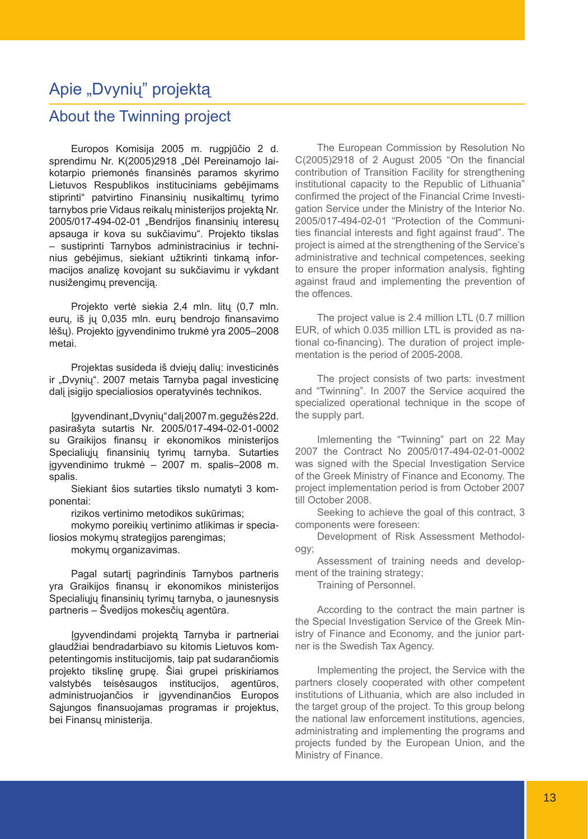## Apie "Dvynių" projektą

## About the Twinning project

Europos Komisija 2005 m. rugpjūčio 2 d. sprendimu Nr. K(2005)2918 "Dėl Pereinamojo laikotarpio priemonės finansinės paramos skyrimo Lietuvos Respublikos instituciniams gebėjimams stiprinti" patvirtino Finansinių nusikaltimų tyrimo tarnybos prie Vidaus reikalų ministerijos projektą Nr. 2005/017-494-02-01 "Bendrijos finansinių interesų apsauga ir kova su sukčiavimu". Projekto tikslas – sustiprinti Tarnybos administracinius ir techninius gebėjimus, siekiant užtikrinti tinkamą informacijos analizę kovojant su sukčiavimu ir vykdant nusižengimų prevenciją.

Projekto vertė siekia 2,4 mln. litų (0,7 mln. eurų, iš jų 0,035 mln. eurų bendrojo finansavimo lėšų). Projekto įgyvendinimo trukmė yra 2005–2008 metai.

Projektas susideda iš dviejų dalių: investicinės ir "Dvynių". 2007 metais Tarnyba pagal investicinę dalį įsigijo specialiosios operatyvinės technikos.

Įgyvendinant "Dvynių" dalį 2007 m. gegužės 22d. pasirašyta sutartis Nr. 2005/017-494-02-01-0002 su Graikijos finansų ir ekonomikos ministerijos Specialiųjų finansinių tyrimų tarnyba. Sutarties įgyvendinimo trukmė – 2007 m. spalis–2008 m. spalis.

Siekiant šios sutarties tikslo numatyti 3 komponentai:

rizikos vertinimo metodikos sukūrimas;

mokymo poreikių vertinimo atlikimas ir specialiosios mokymų strategijos parengimas;

mokymų organizavimas.

Pagal sutartį pagrindinis Tarnybos partneris yra Graikijos finansų ir ekonomikos ministerijos Specialiujų finansinių tyrimų tarnyba, o jaunesnysis partneris – Švedijos mokesčių agentūra.

Įgyvendindami projektą Tarnyba ir partneriai glaudžiai bendradarbiavo su kitomis Lietuvos kompetentingomis institucijomis, taip pat sudarančiomis projekto tikslinę grupę. Šiai grupei priskiriamos valstybės teisėsaugos institucijos, agentūros, administruojančios ir įgyvendinančios Europos Sąjungos finansuojamas programas ir projektus, bei Finansų ministerija.

The European Commission by Resolution No C(2005)2918 of 2 August 2005 "On the financial contribution of Transition Facility for strengthening institutional capacity to the Republic of Lithuania" confirmed the project of the Financial Crime Investigation Service under the Ministry of the Interior No. 2005/017-494-02-01 "Protection of the Communities financial interests and fight against fraud". The project is aimed at the strengthening of the Service's administrative and technical competences, seeking to ensure the proper information analysis, fighting against fraud and implementing the prevention of the offences.

The project value is 2.4 million LTL (0.7 million EUR, of which 0.035 million LTL is provided as national co-financing). The duration of project implementation is the period of 2005-2008.

The project consists of two parts: investment and "Twinning". In 2007 the Service acquired the specialized operational technique in the scope of the supply part.

Imlementing the "Twinning" part on 22 May 2007 the Contract No 2005/017-494-02-01-0002 was signed with the Special Investigation Service of the Greek Ministry of Finance and Economy. The project implementation period is from October 2007 till October 2008.

Seeking to achieve the goal of this contract, 3 components were foreseen:

Development of Risk Assessment Methodology;

Assessment of training needs and development of the training strategy;

Training of Personnel.

According to the contract the main partner is the Special Investigation Service of the Greek Ministry of Finance and Economy, and the junior partner is the Swedish Tax Agency.

Implementing the project, the Service with the partners closely cooperated with other competent institutions of Lithuania, which are also included in the target group of the project. To this group belong the national law enforcement institutions, agencies, administrating and implementing the programs and projects funded by the European Union, and the Ministry of Finance.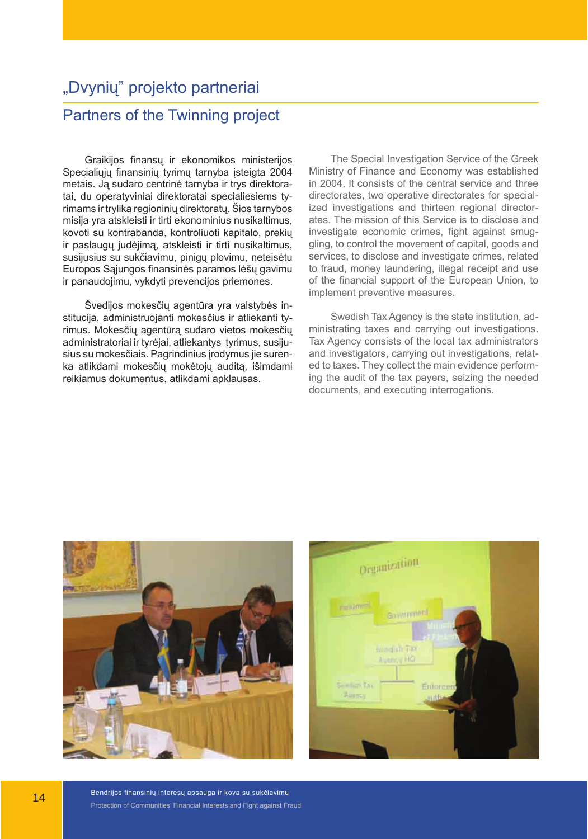# "Dvynių" projekto partneriai Partners of the Twinning project

Graikijos finansų ir ekonomikos ministerijos Specialiųjų finansinių tyrimų tarnyba įsteigta 2004 metais. Ją sudaro centrinė tarnyba ir trys direktoratai, du operatyviniai direktoratai specialiesiems tyrimams ir trylika regioninių direktoratų. Šios tarnybos misija yra atskleisti ir tirti ekonominius nusikaltimus, kovoti su kontrabanda, kontroliuoti kapitalo, prekių ir paslaugų judėjimą, atskleisti ir tirti nusikaltimus, susijusius su sukčiavimu, pinigų plovimu, neteisėtu Europos Sąjungos finansinės paramos lėšų gavimu ir panaudojimu, vykdyti prevencijos priemones.

Švedijos mokesčių agentūra yra valstybės institucija, administruojanti mokesčius ir atliekanti tyrimus. Mokesčių agentūrą sudaro vietos mokesčių administratoriai ir tyrėjai, atliekantys tyrimus, susijusius su mokesčiais. Pagrindinius įrodymus jie surenka atlikdami mokesčių mokėtojų auditą, išimdami reikiamus dokumentus, atlikdami apklausas.

The Special Investigation Service of the Greek Ministry of Finance and Economy was established in 2004. It consists of the central service and three directorates, two operative directorates for specialized investigations and thirteen regional directorates. The mission of this Service is to disclose and investigate economic crimes, fight against smuggling, to control the movement of capital, goods and services, to disclose and investigate crimes, related to fraud, money laundering, illegal receipt and use of the financial support of the European Union, to implement preventive measures.

Swedish Tax Agency is the state institution, administrating taxes and carrying out investigations. Tax Agency consists of the local tax administrators and investigators, carrying out investigations, related to taxes. They collect the main evidence performing the audit of the tax payers, seizing the needed documents, and executing interrogations.



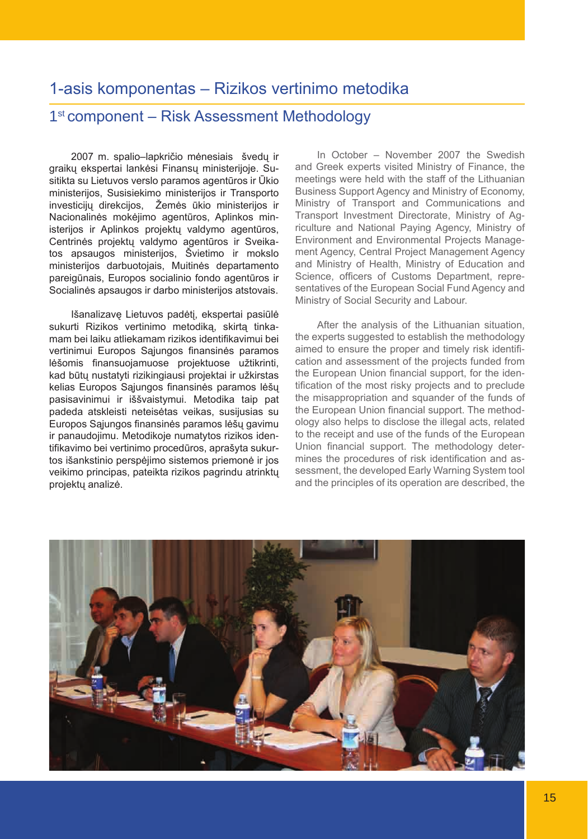## 1-asis komponentas – Rizikos vertinimo metodika

#### 1<sup>st</sup> component – Risk Assessment Methodology

2007 m. spalio–lapkričio mėnesiais švedų ir graikų ekspertai lankėsi Finansų ministerijoje. Susitikta su Lietuvos verslo paramos agentūros ir Ūkio ministerijos, Susisiekimo ministerijos ir Transporto investicijų direkcijos, Žemės ūkio ministerijos ir Nacionalinės mokėjimo agentūros, Aplinkos ministerijos ir Aplinkos projektų valdymo agentūros, Centrinės projektų valdymo agentūros ir Sveikatos apsaugos ministerijos, Švietimo ir mokslo ministerijos darbuotojais, Muitinės departamento pareigūnais, Europos socialinio fondo agentūros ir Socialinės apsaugos ir darbo ministerijos atstovais.

Išanalizavę Lietuvos padėtį, ekspertai pasiūlė sukurti Rizikos vertinimo metodiką, skirtą tinkamam bei laiku atliekamam rizikos identifikavimui bei vertinimui Europos Sąjungos finansinės paramos lėšomis finansuojamuose projektuose užtikrinti, kad būtų nustatyti rizikingiausi projektai ir užkirstas kelias Europos Sąjungos finansinės paramos lėšų pasisavinimui ir iššvaistymui. Metodika taip pat padeda atskleisti neteisėtas veikas, susijusias su Europos Sąjungos finansinės paramos lėšų gavimu ir panaudojimu. Metodikoje numatytos rizikos identifikavimo bei vertinimo procedūros, aprašyta sukurtos išankstinio perspėjimo sistemos priemonė ir jos veikimo principas, pateikta rizikos pagrindu atrinktų projektų analizė.

In October – November 2007 the Swedish and Greek experts visited Ministry of Finance, the meetings were held with the staff of the Lithuanian Business Support Agency and Ministry of Economy, Ministry of Transport and Communications and Transport Investment Directorate, Ministry of Agriculture and National Paying Agency, Ministry of Environment and Environmental Projects Management Agency, Central Project Management Agency and Ministry of Health, Ministry of Education and Science, officers of Customs Department, representatives of the European Social Fund Agency and Ministry of Social Security and Labour.

After the analysis of the Lithuanian situation, the experts suggested to establish the methodology aimed to ensure the proper and timely risk identification and assessment of the projects funded from the European Union financial support, for the identification of the most risky projects and to preclude the misappropriation and squander of the funds of the European Union financial support. The methodology also helps to disclose the illegal acts, related to the receipt and use of the funds of the European Union financial support. The methodology determines the procedures of risk identification and assessment, the developed Early Warning System tool and the principles of its operation are described, the

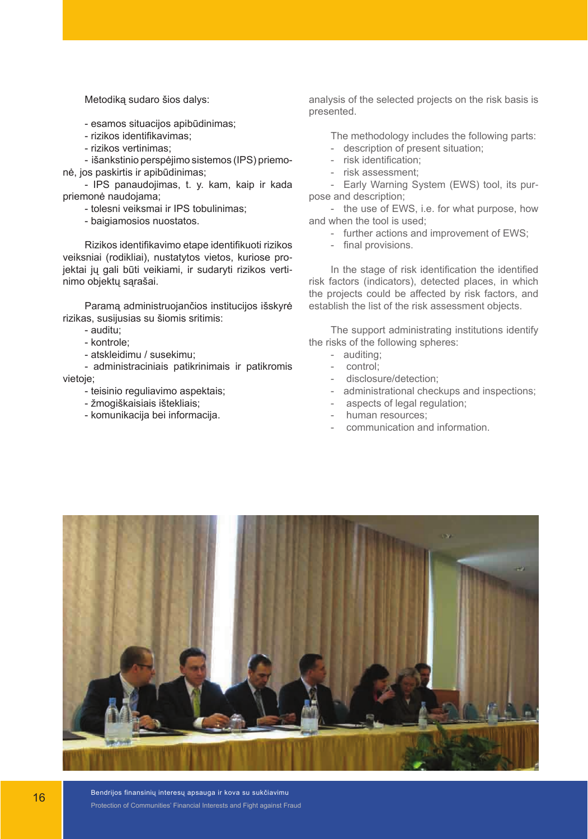Metodiką sudaro šios dalys:

- esamos situacijos apibūdinimas;
- rizikos identifikavimas;
- rizikos vertinimas;

- išankstinio perspėjimo sistemos (IPS) priemonė, jos paskirtis ir apibūdinimas;

- IPS panaudojimas, t. y. kam, kaip ir kada priemonė naudojama;

- tolesni veiksmai ir IPS tobulinimas;

- baigiamosios nuostatos.

Rizikos identifikavimo etape identifikuoti rizikos veiksniai (rodikliai), nustatytos vietos, kuriose projektai jų gali būti veikiami, ir sudaryti rizikos vertinimo objektų sąrašai.

Paramą administruojančios institucijos išskyrė rizikas, susijusias su šiomis sritimis:

- auditu;
- kontrole;
- atskleidimu / susekimu;

- administraciniais patikrinimais ir patikromis vietoje;

- teisinio reguliavimo aspektais;
- žmogiškaisiais ištekliais;
- komunikacija bei informacija.

analysis of the selected projects on the risk basis is presented.

The methodology includes the following parts:

- description of present situation;
- risk identification;
- risk assessment;

- Early Warning System (EWS) tool, its purpose and description;

- the use of EWS, i.e. for what purpose, how and when the tool is used;

- further actions and improvement of EWS;
- final provisions.

In the stage of risk identification the identified risk factors (indicators), detected places, in which the projects could be affected by risk factors, and establish the list of the risk assessment objects.

The support administrating institutions identify the risks of the following spheres:

- auditing;
- control;
- disclosure/detection;
- administrational checkups and inspections;
- aspects of legal regulation;
- human resources;
- communication and information.



Bendrijos finansinių interesų apsauga ir kova su sukčiavimu Protection of Communities' Financial Interests and Fight against Fraud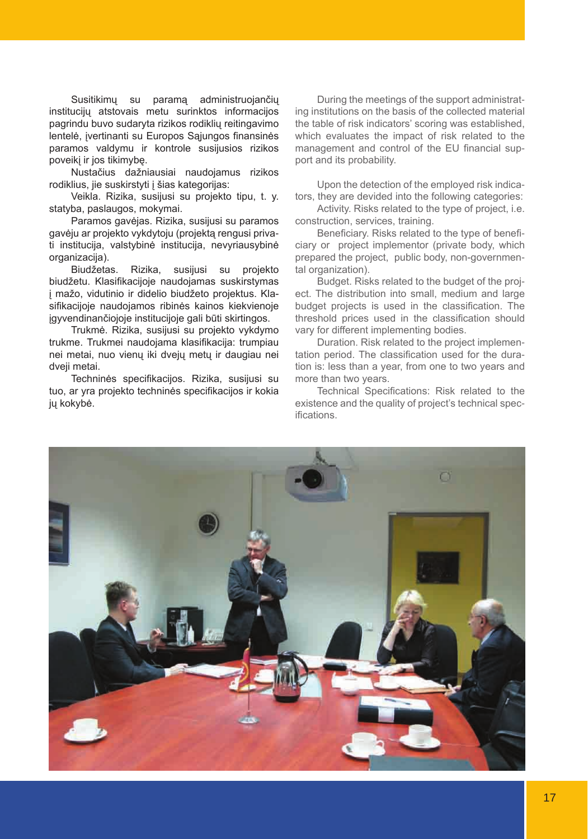Susitikimų su paramą administruojančių institucijų atstovais metu surinktos informacijos pagrindu buvo sudaryta rizikos rodiklių reitingavimo lentelė, įvertinanti su Europos Sąjungos finansinės paramos valdymu ir kontrole susijusios rizikos poveikį ir jos tikimybę.

Nustačius dažniausiai naudojamus rizikos rodiklius, jie suskirstyti į šias kategorijas:

Veikla. Rizika, susijusi su projekto tipu, t. y. statyba, paslaugos, mokymai.

Paramos gavėjas. Rizika, susijusi su paramos gavėju ar projekto vykdytoju (projektą rengusi privati institucija, valstybinė institucija, nevyriausybinė organizacija).<br>Biudžetas.

Rizika, susijusi su projekto biudžetu. Klasifikacijoje naudojamas suskirstymas į mažo, vidutinio ir didelio biudžeto projektus. Klasifikacijoje naudojamos ribinės kainos kiekvienoje įgyvendinančiojoje institucijoje gali būti skirtingos.

Trukmė. Rizika, susijusi su projekto vykdymo trukme. Trukmei naudojama klasifikacija: trumpiau nei metai, nuo vienų iki dvejų metų ir daugiau nei dveji metai.

Techninės specifikacijos. Rizika, susijusi su tuo, ar yra projekto techninės specifikacijos ir kokia jų kokybė.

During the meetings of the support administrating institutions on the basis of the collected material the table of risk indicators' scoring was established, which evaluates the impact of risk related to the management and control of the EU financial support and its probability.

Upon the detection of the employed risk indicators, they are devided into the following categories:

Activity. Risks related to the type of project, i.e. construction, services, training.

Beneficiary. Risks related to the type of beneficiary or project implementor (private body, which prepared the project, public body, non-governmental organization).

Budget. Risks related to the budget of the project. The distribution into small, medium and large budget projects is used in the classification. The threshold prices used in the classification should vary for different implementing bodies.

Duration. Risk related to the project implementation period. The classification used for the duration is: less than a year, from one to two years and more than two years.

Technical Specifications: Risk related to the existence and the quality of project's technical specifications.

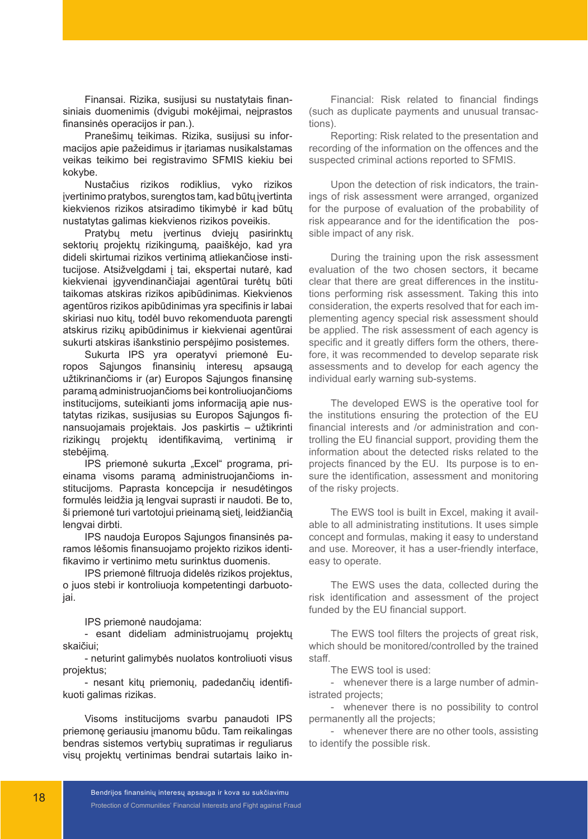Finansai. Rizika, susijusi su nustatytais finansiniais duomenimis (dvigubi mokėjimai, neiprastos finansinės operacijos ir pan.).

Pranešimų teikimas. Rizika, susijusi su informacijos apie pažeidimus ir įtariamas nusikalstamas veikas teikimo bei registravimo SFMIS kiekiu bei kokybe.

Nustačius rizikos rodiklius, vyko rizikos įvertinimo pratybos, surengtos tam, kad būtų įvertinta kiekvienos rizikos atsiradimo tikimybė ir kad būtų nustatytas galimas kiekvienos rizikos poveikis.

Pratybų metu įvertinus dviejų pasirinktų sektorių projektų rizikingumą, paaiškėjo, kad yra dideli skirtumai rizikos vertinimą atliekančiose institucijose. Atsižvelgdami į tai, ekspertai nutarė, kad kiekvienai įgyvendinančiajai agentūrai turėtų būti taikomas atskiras rizikos apibūdinimas. Kiekvienos agentūros rizikos apibūdinimas yra specifinis ir labai skiriasi nuo kitų, todėl buvo rekomenduota parengti atskirus rizikų apibūdinimus ir kiekvienai agentūrai sukurti atskiras išankstinio perspėjimo posistemes.

Sukurta IPS yra operatyvi priemonė Europos Sąjungos finansinių interesų apsaugą užtikrinančioms ir (ar) Europos Sąjungos finansinę paramą administruojančioms bei kontroliuojančioms institucijoms, suteikianti joms informaciją apie nustatytas rizikas, susijusias su Europos Sąjungos finansuojamais projektais. Jos paskirtis – užtikrinti rizikingų projektų identifikavimą, vertinimą ir stebėjimą.

IPS priemonė sukurta "Excel" programa, prieinama visoms paramą administruojančioms institucijoms. Paprasta koncepcija ir nesudėtingos formulės leidžia ją lengvai suprasti ir naudoti. Be to, ši priemonė turi vartotojui prieinamą sietį, leidžiančią lengvai dirbti.

IPS naudoja Europos Sąjungos finansinės paramos lėšomis finansuojamo projekto rizikos identifikavimo ir vertinimo metu surinktus duomenis.

IPS priemonė filtruoja didelės rizikos projektus, o juos stebi ir kontroliuoja kompetentingi darbuotojai.

IPS priemonė naudojama:

- esant dideliam administruojamų projektų skaičiui;

- neturint galimybės nuolatos kontroliuoti visus projektus;

- nesant kitų priemonių, padedančių identifikuoti galimas rizikas.

Visoms institucijoms svarbu panaudoti IPS priemonę geriausiu įmanomu būdu. Tam reikalingas bendras sistemos vertybių supratimas ir reguliarus visų projektų vertinimas bendrai sutartais laiko in-

Financial: Risk related to financial findings (such as duplicate payments and unusual transactions).

Reporting: Risk related to the presentation and recording of the information on the offences and the suspected criminal actions reported to SFMIS.

Upon the detection of risk indicators, the trainings of risk assessment were arranged, organized for the purpose of evaluation of the probability of risk appearance and for the identification the possible impact of any risk.

During the training upon the risk assessment evaluation of the two chosen sectors, it became clear that there are great differences in the institutions performing risk assessment. Taking this into consideration, the experts resolved that for each implementing agency special risk assessment should be applied. The risk assessment of each agency is specific and it greatly differs form the others, therefore, it was recommended to develop separate risk assessments and to develop for each agency the individual early warning sub-systems.

The developed EWS is the operative tool for the institutions ensuring the protection of the EU financial interests and /or administration and controlling the EU financial support, providing them the information about the detected risks related to the projects financed by the EU. Its purpose is to ensure the identification, assessment and monitoring of the risky projects.

The EWS tool is built in Excel, making it available to all administrating institutions. It uses simple concept and formulas, making it easy to understand and use. Moreover, it has a user-friendly interface, easy to operate.

The EWS uses the data, collected during the risk identification and assessment of the project funded by the EU financial support.

The EWS tool filters the projects of great risk, which should be monitored/controlled by the trained staff.

The EWS tool is used:

- whenever there is a large number of administrated projects;

- whenever there is no possibility to control permanently all the projects;

- whenever there are no other tools, assisting to identify the possible risk.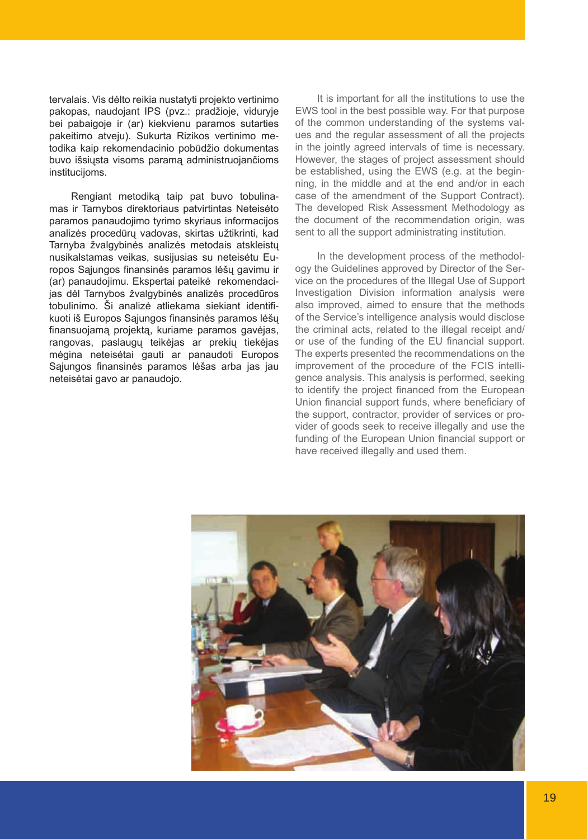tervalais. Vis dėlto reikia nustatyti projekto vertinimo pakopas, naudojant IPS (pvz.: pradžioje, viduryje bei pabaigoje ir (ar) kiekvienu paramos sutarties pakeitimo atveju). Sukurta Rizikos vertinimo metodika kaip rekomendacinio pobūdžio dokumentas buvo išsiųsta visoms paramą administruojančioms instituciioms.

Rengiant metodiką taip pat buvo tobulinamas ir Tarnybos direktoriaus patvirtintas Neteisėto paramos panaudojimo tyrimo skyriaus informacijos analizės procedūrų vadovas, skirtas užtikrinti, kad Tarnyba žvalgybinės analizės metodais atskleistų nusikalstamas veikas, susijusias su neteisėtu Europos Sąjungos finansinės paramos lėšų gavimu ir (ar) panaudojimu. Ekspertai pateikė rekomendacijas dėl Tarnybos žvalgybinės analizės procedūros tobulinimo. Ši analizė atliekama siekiant identifikuoti iš Europos Sąjungos finansinės paramos lėšų finansuojamą projektą, kuriame paramos gavėjas, rangovas, paslaugų teikėjas ar prekių tiekėjas mėgina neteisėtai gauti ar panaudoti Europos Sąjungos finansinės paramos lėšas arba jas jau neteisėtai gavo ar panaudojo.

It is important for all the institutions to use the EWS tool in the best possible way. For that purpose of the common understanding of the systems values and the regular assessment of all the projects in the jointly agreed intervals of time is necessary. However, the stages of project assessment should be established, using the EWS (e.g. at the beginning, in the middle and at the end and/or in each case of the amendment of the Support Contract). The developed Risk Assessment Methodology as the document of the recommendation origin, was sent to all the support administrating institution.

In the development process of the methodology the Guidelines approved by Director of the Service on the procedures of the Illegal Use of Support Investigation Division information analysis were also improved, aimed to ensure that the methods of the Service's intelligence analysis would disclose the criminal acts, related to the illegal receipt and/ or use of the funding of the EU financial support. The experts presented the recommendations on the improvement of the procedure of the FCIS intelligence analysis. This analysis is performed, seeking to identify the project financed from the European Union financial support funds, where beneficiary of the support, contractor, provider of services or provider of goods seek to receive illegally and use the funding of the European Union financial support or have received illegally and used them.

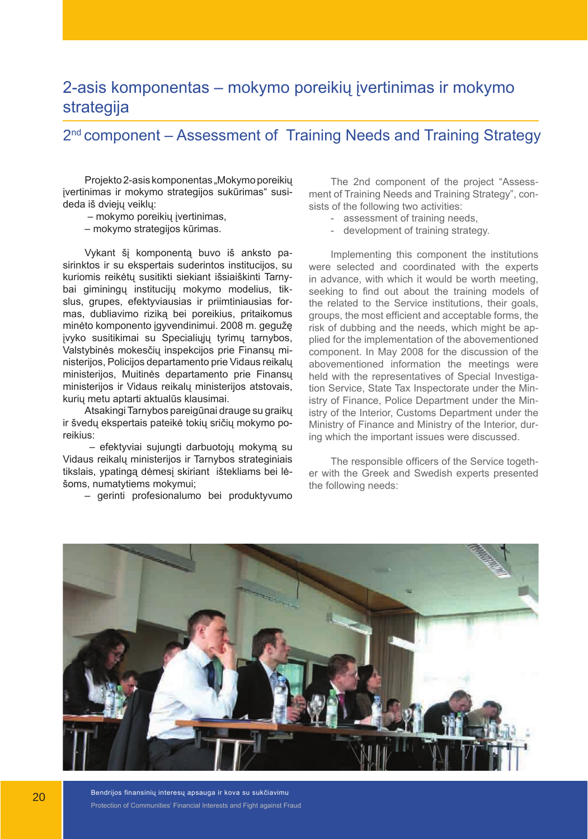## 2-asis komponentas – mokymo poreikių įvertinimas ir mokymo strategija

#### 2<sup>nd</sup> component – Assessment of Training Needs and Training Strategy

Projekto 2-asis komponentas "Mokymo poreikių įvertinimas ir mokymo strategijos sukūrimas" susideda iš dviejų veiklų:

– mokymo poreikių įvertinimas,

– mokymo strategijos kūrimas.

Vykant šį komponentą buvo iš anksto pasirinktos ir su ekspertais suderintos institucijos, su kuriomis reikėtų susitikti siekiant išsiaiškinti Tarnybai giminingų institucijų mokymo modelius, tikslus, grupes, efektyviausias ir priimtiniausias formas, dubliavimo riziką bei poreikius, pritaikomus minėto komponento įgyvendinimui. 2008 m. gegužę įvyko susitikimai su Specialiųjų tyrimų tarnybos, Valstybinės mokesčių inspekcijos prie Finansų ministerijos, Policijos departamento prie Vidaus reikalų ministerijos, Muitinės departamento prie Finansų ministerijos ir Vidaus reikalų ministerijos atstovais, kurių metu aptarti aktualūs klausimai.

Atsakingi Tarnybos pareigūnai drauge su graikų ir švedų ekspertais pateikė tokių sričių mokymo poreikius:

 – efektyviai sujungti darbuotojų mokymą su Vidaus reikalų ministerijos ir Tarnybos strateginiais tikslais, ypatingą dėmesį skiriant ištekliams bei lėšoms, numatytiems mokymui;

– gerinti profesionalumo bei produktyvumo

The 2nd component of the project "Assessment of Training Needs and Training Strategy", consists of the following two activities:

- assessment of training needs,
- development of training strategy.

Implementing this component the institutions were selected and coordinated with the experts in advance, with which it would be worth meeting, seeking to find out about the training models of the related to the Service institutions, their goals, groups, the most efficient and acceptable forms, the risk of dubbing and the needs, which might be applied for the implementation of the abovementioned component. In May 2008 for the discussion of the abovementioned information the meetings were held with the representatives of Special Investigation Service, State Tax Inspectorate under the Ministry of Finance, Police Department under the Ministry of the Interior, Customs Department under the Ministry of Finance and Ministry of the Interior, during which the important issues were discussed.

The responsible officers of the Service together with the Greek and Swedish experts presented the following needs:



Bendrijos finansinių interesų apsauga ir kova su sukčiavimu Protection of Communities' Financial Interests and Fight against Fraud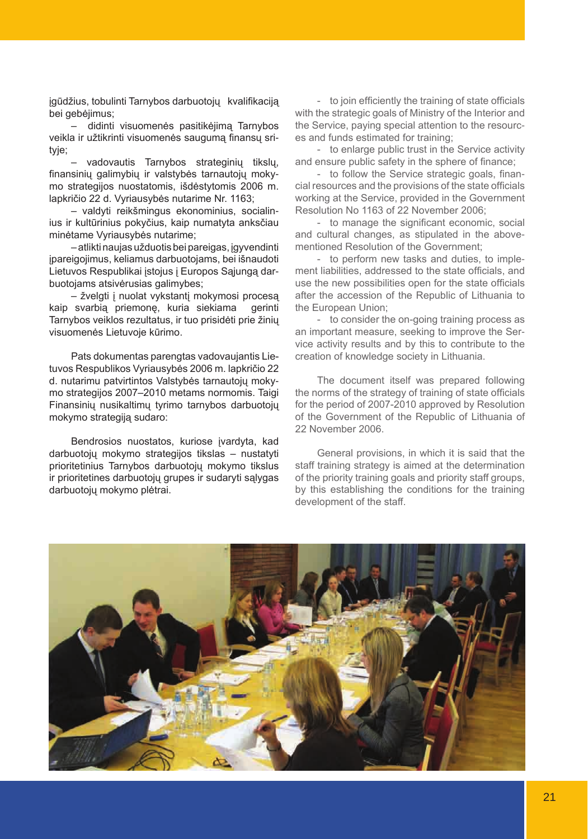įgūdžius, tobulinti Tarnybos darbuotojų kvalifikaciją bei gebėjimus;

– didinti visuomenės pasitikėjimą Tarnybos veikla ir užtikrinti visuomenės saugumą finansų srityje;

– vadovautis Tarnybos strateginių tikslų, finansinių galimybių ir valstybės tarnautojų mokymo strategijos nuostatomis, išdėstytomis 2006 m. lapkričio 22 d. Vyriausybės nutarime Nr. 1163;

– valdyti reikšmingus ekonominius, socialinius ir kultūrinius pokyčius, kaip numatyta anksčiau minėtame Vyriausybės nutarime;

– atlikti naujas užduotis bei pareigas, įgyvendinti įpareigojimus, keliamus darbuotojams, bei išnaudoti Lietuvos Respublikai įstojus į Europos Sąjungą darbuotojams atsivėrusias galimybes;

– žvelgti į nuolat vykstantį mokymosi procesą kaip svarbią priemonę, kuria siekiama gerinti Tarnybos veiklos rezultatus, ir tuo prisidėti prie žinių visuomenės Lietuvoje kūrimo.

Pats dokumentas parengtas vadovaujantis Lietuvos Respublikos Vyriausybės 2006 m. lapkričio 22 d. nutarimu patvirtintos Valstybės tarnautojų mokymo strategijos 2007–2010 metams normomis. Taigi Finansinių nusikaltimų tyrimo tarnybos darbuotojų mokymo strategiją sudaro:

Bendrosios nuostatos, kuriose įvardyta, kad darbuotojų mokymo strategijos tikslas – nustatyti prioritetinius Tarnybos darbuotojų mokymo tikslus ir prioritetines darbuotojų grupes ir sudaryti sąlygas darbuotojų mokymo plėtrai.

- to join efficiently the training of state officials with the strategic goals of Ministry of the Interior and the Service, paying special attention to the resources and funds estimated for training;

- to enlarge public trust in the Service activity and ensure public safety in the sphere of finance;

- to follow the Service strategic goals, financial resources and the provisions of the state officials working at the Service, provided in the Government Resolution No 1163 of 22 November 2006;

- to manage the significant economic, social and cultural changes, as stipulated in the abovementioned Resolution of the Government;

- to perform new tasks and duties, to implement liabilities, addressed to the state officials, and use the new possibilities open for the state officials after the accession of the Republic of Lithuania to the European Union;

- to consider the on-going training process as an important measure, seeking to improve the Service activity results and by this to contribute to the creation of knowledge society in Lithuania.

The document itself was prepared following the norms of the strategy of training of state officials for the period of 2007-2010 approved by Resolution of the Government of the Republic of Lithuania of 22 November 2006.

General provisions, in which it is said that the staff training strategy is aimed at the determination of the priority training goals and priority staff groups, by this establishing the conditions for the training development of the staff.

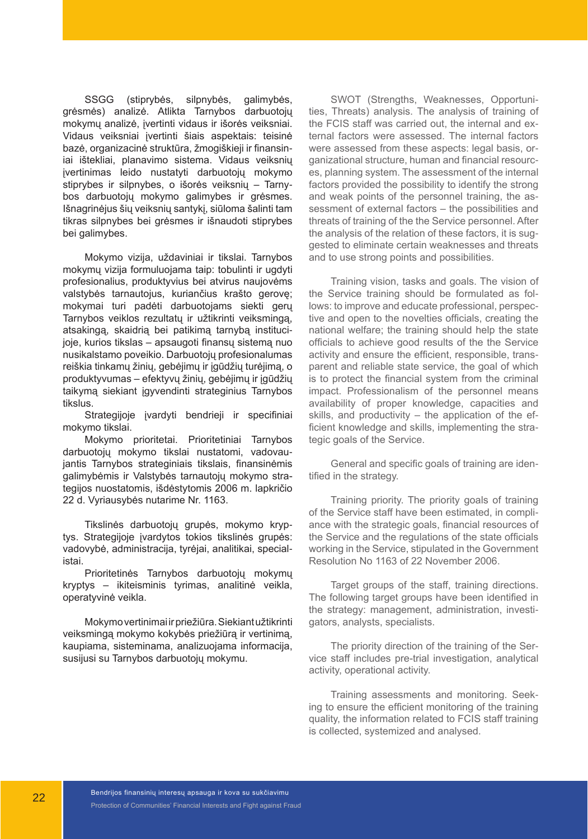SSGG (stiprybės, silpnybės, galimybės, grėsmės) analizė. Atlikta Tarnybos darbuotojų mokymų analizė, įvertinti vidaus ir išorės veiksniai. Vidaus veiksniai įvertinti šiais aspektais: teisinė bazė, organizacinė struktūra, žmogiškieji ir finansiniai ištekliai, planavimo sistema. Vidaus veiksnių įvertinimas leido nustatyti darbuotojų mokymo stiprybes ir silpnybes, o išorės veiksnių – Tarnybos darbuotojų mokymo galimybes ir grėsmes. Išnagrinėjus šių veiksnių santykį, siūloma šalinti tam tikras silpnybes bei grėsmes ir išnaudoti stiprybes bei galimybes.

Mokymo vizija, uždaviniai ir tikslai. Tarnybos mokymų vizija formuluojama taip: tobulinti ir ugdyti profesionalius, produktyvius bei atvirus naujovėms valstybės tarnautojus, kuriančius krašto gerovę; mokymai turi padėti darbuotojams siekti gerų Tarnybos veiklos rezultatų ir užtikrinti veiksmingą, atsakingą, skaidrią bei patikimą tarnybą institucijoje, kurios tikslas – apsaugoti finansų sistemą nuo nusikalstamo poveikio. Darbuotojų profesionalumas reiškia tinkamų žinių, gebėjimų ir įgūdžių turėjimą, o produktyvumas – efektyvų žinių, gebėjimų ir įgūdžių taikymą siekiant įgyvendinti strateginius Tarnybos tikslus.

Strategijoje įvardyti bendrieji ir specifiniai mokymo tikslai.

Mokymo prioritetai. Prioritetiniai Tarnybos darbuotojų mokymo tikslai nustatomi, vadovaujantis Tarnybos strateginiais tikslais, finansinėmis galimybėmis ir Valstybės tarnautojų mokymo strategijos nuostatomis, išdėstytomis 2006 m. lapkričio 22 d. Vyriausybės nutarime Nr. 1163.

Tikslinės darbuotojų grupės, mokymo kryptys. Strategijoje įvardytos tokios tikslinės grupės: vadovybė, administracija, tyrėjai, analitikai, specialistai.

Prioritetinės Tarnybos darbuotojų mokymų kryptys – ikiteisminis tyrimas, analitinė veikla, operatyvinė veikla.

Mokymo vertinimai ir priežiūra. Siekiant užtikrinti veiksmingą mokymo kokybės priežiūrą ir vertinimą, kaupiama, sisteminama, analizuojama informacija, susijusi su Tarnybos darbuotojų mokymu.

SWOT (Strengths, Weaknesses, Opportunities, Threats) analysis. The analysis of training of the FCIS staff was carried out, the internal and external factors were assessed. The internal factors were assessed from these aspects: legal basis, organizational structure, human and financial resources, planning system. The assessment of the internal factors provided the possibility to identify the strong and weak points of the personnel training, the assessment of external factors – the possibilities and threats of training of the the Service personnel. After the analysis of the relation of these factors, it is suggested to eliminate certain weaknesses and threats and to use strong points and possibilities.

Training vision, tasks and goals. The vision of the Service training should be formulated as follows: to improve and educate professional, perspective and open to the novelties officials, creating the national welfare; the training should help the state officials to achieve good results of the the Service activity and ensure the efficient, responsible, transparent and reliable state service, the goal of which is to protect the financial system from the criminal impact. Professionalism of the personnel means availability of proper knowledge, capacities and skills, and productivity – the application of the efficient knowledge and skills, implementing the strategic goals of the Service.

General and specific goals of training are identified in the strategy.

Training priority. The priority goals of training of the Service staff have been estimated, in compliance with the strategic goals, financial resources of the Service and the regulations of the state officials working in the Service, stipulated in the Government Resolution No 1163 of 22 November 2006.

Target groups of the staff, training directions. The following target groups have been identified in the strategy: management, administration, investigators, analysts, specialists.

The priority direction of the training of the Service staff includes pre-trial investigation, analytical activity, operational activity.

Training assessments and monitoring. Seeking to ensure the efficient monitoring of the training quality, the information related to FCIS staff training is collected, systemized and analysed.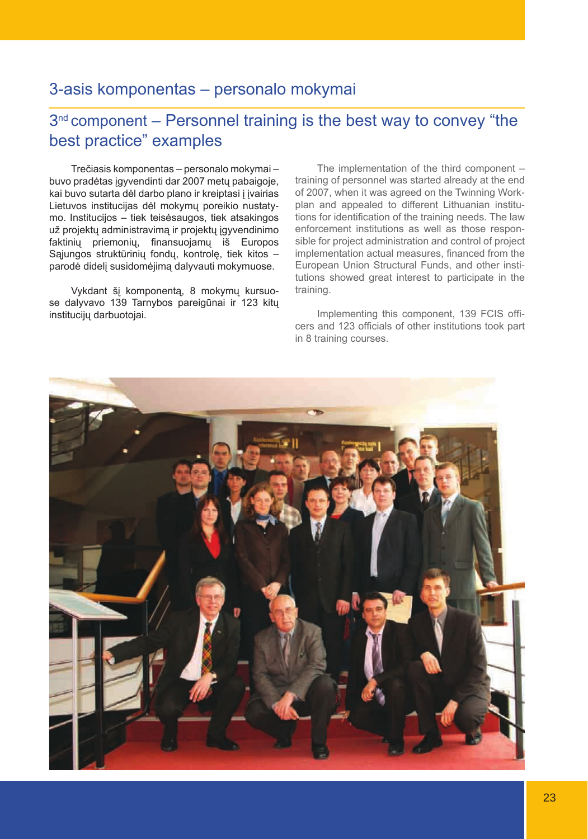## 3-asis komponentas – personalo mokymai

## 3<sup>nd</sup> component – Personnel training is the best way to convey "the best practice" examples

Trečiasis komponentas – personalo mokymai – buvo pradėtas įgyvendinti dar 2007 metų pabaigoje, kai buvo sutarta dėl darbo plano ir kreiptasi į įvairias Lietuvos institucijas dėl mokymų poreikio nustatymo. Institucijos – tiek teisėsaugos, tiek atsakingos už projektų administravimą ir projektų įgyvendinimo faktinių priemonių, finansuojamų iš Europos Sąjungos struktūrinių fondų, kontrolę, tiek kitos – parodė didelį susidomėjimą dalyvauti mokymuose.

Vykdant šį komponentą, 8 mokymų kursuose dalyvavo 139 Tarnybos pareigūnai ir 123 kitų institucijų darbuotojai.

The implementation of the third component – training of personnel was started already at the end of 2007, when it was agreed on the Twinning Workplan and appealed to different Lithuanian institutions for identification of the training needs. The law enforcement institutions as well as those responsible for project administration and control of project implementation actual measures, financed from the European Union Structural Funds, and other institutions showed great interest to participate in the training.

Implementing this component, 139 FCIS officers and 123 officials of other institutions took part in 8 training courses.

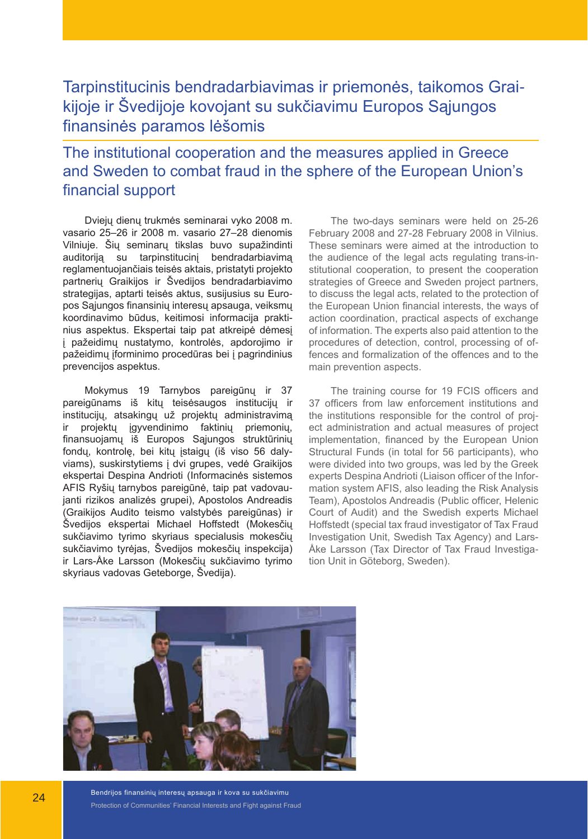## Tarpinstitucinis bendradarbiavimas ir priemonės, taikomos Graikijoje ir Švedijoje kovojant su sukčiavimu Europos Sąjungos finansinės paramos lėšomis

## The institutional cooperation and the measures applied in Greece and Sweden to combat fraud in the sphere of the European Union's financial support

Dviejų dienų trukmės seminarai vyko 2008 m. vasario 25–26 ir 2008 m. vasario 27–28 dienomis Vilniuje. Šių seminarų tikslas buvo supažindinti auditoriją su tarpinstitucinį bendradarbiavimą reglamentuojančiais teisės aktais, pristatyti projekto partnerių Graikijos ir Švedijos bendradarbiavimo strategijas, aptarti teisės aktus, susijusius su Europos Sąjungos finansinių interesų apsauga, veiksmų koordinavimo būdus, keitimosi informacija praktinius aspektus. Ekspertai taip pat atkreipė dėmesį į pažeidimų nustatymo, kontrolės, apdorojimo ir pažeidimų įforminimo procedūras bei į pagrindinius prevencijos aspektus.

Mokymus 19 Tarnybos pareigūnų ir 37 pareigūnams iš kitų teisėsaugos institucijų ir institucijų, atsakingų už projektų administravimą ir projektų įgyvendinimo faktinių priemonių, finansuojamų iš Europos Sąjungos struktūrinių fondų, kontrolę, bei kitų įstaigų (iš viso 56 dalyviams), suskirstytiems į dvi grupes, vedė Graikijos ekspertai Despina Andrioti (Informacinės sistemos AFIS Ryšių tarnybos pareigūnė, taip pat vadovaujanti rizikos analizės grupei), Apostolos Andreadis (Graikijos Audito teismo valstybės pareigūnas) ir Švedijos ekspertai Michael Hoffstedt (Mokesčių sukčiavimo tyrimo skyriaus specialusis mokesčių sukčiavimo tyrėjas, Švedijos mokesčių inspekcija) ir Lars-Åke Larsson (Mokesčių sukčiavimo tyrimo skyriaus vadovas Geteborge, Švedija).

The two-days seminars were held on 25-26 February 2008 and 27-28 February 2008 in Vilnius. These seminars were aimed at the introduction to the audience of the legal acts regulating trans-institutional cooperation, to present the cooperation strategies of Greece and Sweden project partners, to discuss the legal acts, related to the protection of the European Union financial interests, the ways of action coordination, practical aspects of exchange of information. The experts also paid attention to the procedures of detection, control, processing of offences and formalization of the offences and to the main prevention aspects.

The training course for 19 FCIS officers and 37 officers from law enforcement institutions and the institutions responsible for the control of project administration and actual measures of project implementation, financed by the European Union Structural Funds (in total for 56 participants), who were divided into two groups, was led by the Greek experts Despina Andrioti (Liaison officer of the Information system AFIS, also leading the Risk Analysis Team), Apostolos Andreadis (Public officer, Helenic Court of Audit) and the Swedish experts Michael Hoffstedt (special tax fraud investigator of Tax Fraud Investigation Unit, Swedish Tax Agency) and Lars-Åke Larsson (Tax Director of Tax Fraud Investigation Unit in Göteborg, Sweden).



Bendrijos finansinių interesų apsauga ir kova su sukčiavimu Protection of Communities' Financial Interests and Fight against Fraud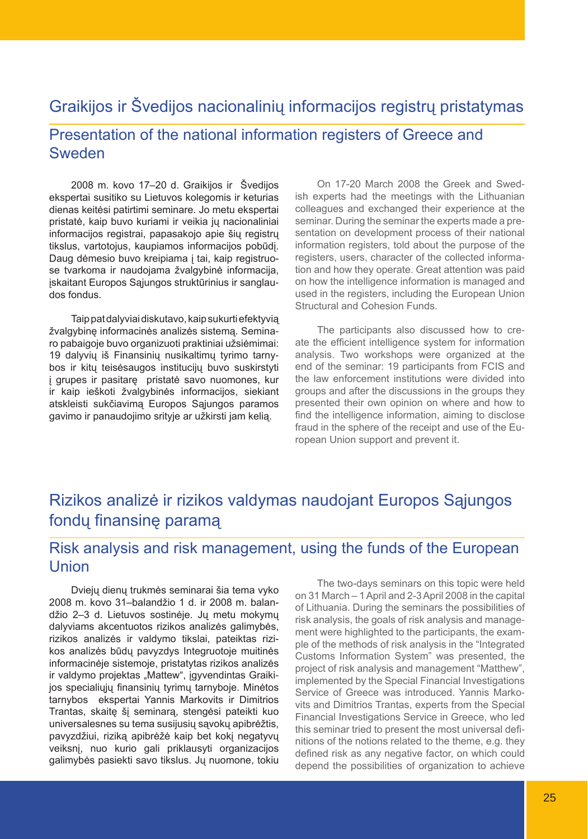## Graikijos ir Švedijos nacionalinių informacijos registrų pristatymas

## Presentation of the national information registers of Greece and Sweden

2008 m. kovo 17–20 d. Graikijos ir Švedijos ekspertai susitiko su Lietuvos kolegomis ir keturias dienas keitėsi patirtimi seminare. Jo metu ekspertai pristatė, kaip buvo kuriami ir veikia jų nacionaliniai informacijos registrai, papasakojo apie šių registrų tikslus, vartotojus, kaupiamos informacijos pobūdį. Daug dėmesio buvo kreipiama į tai, kaip registruose tvarkoma ir naudojama žvalgybinė informacija, įskaitant Europos Sąjungos struktūrinius ir sanglaudos fondus.

Taip pat dalyviai diskutavo, kaip sukurti efektyvią žvalgybinę informacinės analizės sistemą. Seminaro pabaigoje buvo organizuoti praktiniai užsiėmimai: 19 dalyvių iš Finansinių nusikaltimų tyrimo tarnybos ir kitų teisėsaugos institucijų buvo suskirstyti į grupes ir pasitarę pristatė savo nuomones, kur ir kaip ieškoti žvalgybinės informacijos, siekiant atskleisti sukčiavimą Europos Sąjungos paramos gavimo ir panaudojimo srityje ar užkirsti jam kelią.

On 17-20 March 2008 the Greek and Swedish experts had the meetings with the Lithuanian colleagues and exchanged their experience at the seminar. During the seminar the experts made a presentation on development process of their national information registers, told about the purpose of the registers, users, character of the collected information and how they operate. Great attention was paid on how the intelligence information is managed and used in the registers, including the European Union Structural and Cohesion Funds.

The participants also discussed how to create the efficient intelligence system for information analysis. Two workshops were organized at the end of the seminar: 19 participants from FCIS and the law enforcement institutions were divided into groups and after the discussions in the groups they presented their own opinion on where and how to find the intelligence information, aiming to disclose fraud in the sphere of the receipt and use of the European Union support and prevent it.

## Rizikos analizė ir rizikos valdymas naudojant Europos Sąjungos fondų finansinę paramą

## Risk analysis and risk management, using the funds of the European Union

Dviejų dienų trukmės seminarai šia tema vyko 2008 m. kovo 31–balandžio 1 d. ir 2008 m. balandžio 2–3 d. Lietuvos sostinėje. Jų metu mokymų dalyviams akcentuotos rizikos analizės galimybės, rizikos analizės ir valdymo tikslai, pateiktas rizikos analizės būdų pavyzdys Integruotoje muitinės informacinėje sistemoje, pristatytas rizikos analizės ir valdymo projektas "Mattew", įgyvendintas Graikijos specialiųjų finansinių tyrimų tarnyboje. Minėtos tarnybos ekspertai Yannis Markovits ir Dimitrios Trantas, skaitę šį seminarą, stengėsi pateikti kuo universalesnes su tema susijusių sąvokų apibrėžtis, pavyzdžiui, riziką apibrėžė kaip bet kokį negatyvų veiksnį, nuo kurio gali priklausyti organizacijos galimybės pasiekti savo tikslus. Jų nuomone, tokiu

The two-days seminars on this topic were held on 31 March – 1 April and 2-3 April 2008 in the capital of Lithuania. During the seminars the possibilities of risk analysis, the goals of risk analysis and management were highlighted to the participants, the example of the methods of risk analysis in the "Integrated Customs Information System" was presented, the project of risk analysis and management "Matthew", implemented by the Special Financial Investigations Service of Greece was introduced. Yannis Markovits and Dimitrios Trantas, experts from the Special Financial Investigations Service in Greece, who led this seminar tried to present the most universal definitions of the notions related to the theme, e.g. they defined risk as any negative factor, on which could depend the possibilities of organization to achieve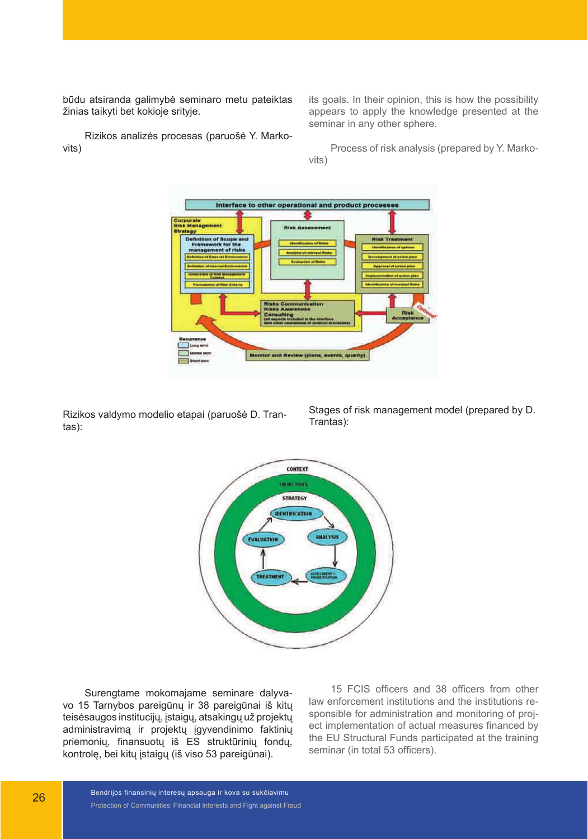būdu atsiranda galimybė seminaro metu pateiktas žinias taikyti bet kokioje srityje.

Rizikos analizės procesas (paruošė Y. Markovits)

its goals. In their opinion, this is how the possibility appears to apply the knowledge presented at the seminar in any other sphere.

Process of risk analysis (prepared by Y. Markovits)



Rizikos valdymo modelio etapai (paruošė D. Trantas):

Stages of risk management model (prepared by D. Trantas):



Surengtame mokomajame seminare dalyvavo 15 Tarnybos pareigūnų ir 38 pareigūnai iš kitų teisėsaugos institucijų, įstaigų, atsakingų už projektų administravimą ir projektų įgyvendinimo faktinių priemonių, finansuotų iš ES struktūrinių fondų, kontrolę, bei kitų įstaigų (iš viso 53 pareigūnai).

15 FCIS officers and 38 officers from other law enforcement institutions and the institutions responsible for administration and monitoring of project implementation of actual measures financed by the EU Structural Funds participated at the training seminar (in total 53 officers).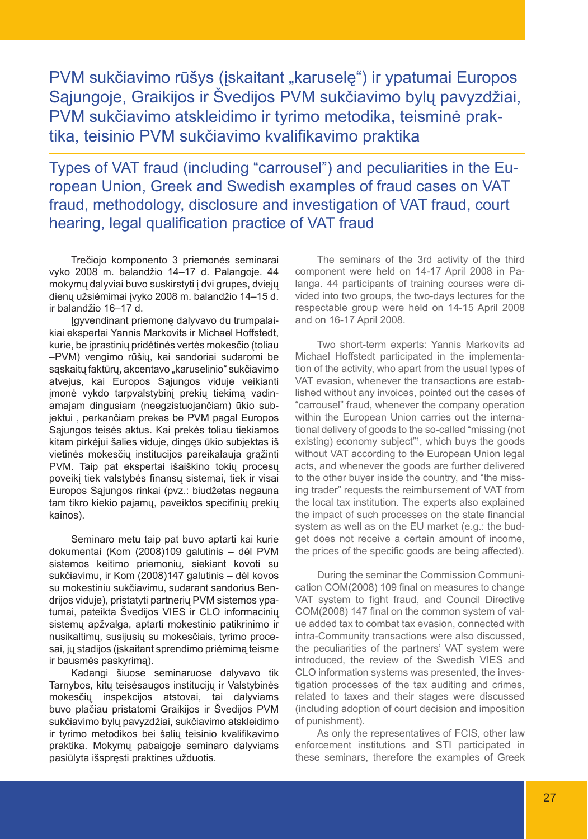## PVM sukčiavimo rūšys (įskaitant "karuselę") ir ypatumai Europos Sąjungoje, Graikijos ir Švedijos PVM sukčiavimo bylų pavyzdžiai, PVM sukčiavimo atskleidimo ir tyrimo metodika, teisminė praktika, teisinio PVM sukčiavimo kvalifikavimo praktika

Types of VAT fraud (including "carrousel") and peculiarities in the European Union, Greek and Swedish examples of fraud cases on VAT fraud, methodology, disclosure and investigation of VAT fraud, court hearing, legal qualification practice of VAT fraud

Trečiojo komponento 3 priemonės seminarai vyko 2008 m. balandžio 14–17 d. Palangoje. 44 mokymų dalyviai buvo suskirstyti į dvi grupes, dviejų dienų užsiėmimai įvyko 2008 m. balandžio 14–15 d. ir balandžio 16–17 d.

Įgyvendinant priemonę dalyvavo du trumpalaikiai ekspertai Yannis Markovits ir Michael Hoffstedt, kurie, be įprastinių pridėtinės vertės mokesčio (toliau –PVM) vengimo rūšių, kai sandoriai sudaromi be sąskaitų faktūrų, akcentavo "karuselinio" sukčiavimo atvejus, kai Europos Sąjungos viduje veikianti įmonė vykdo tarpvalstybinį prekių tiekimą vadinamajam dingusiam (neegzistuojančiam) ūkio subjektui , perkančiam prekes be PVM pagal Europos Sąjungos teisės aktus. Kai prekės toliau tiekiamos kitam pirkėjui šalies viduje, dingęs ūkio subjektas iš vietinės mokesčių institucijos pareikalauja grąžinti PVM. Taip pat ekspertai išaiškino tokių procesų poveikį tiek valstybės finansų sistemai, tiek ir visai Europos Sąjungos rinkai (pvz.: biudžetas negauna tam tikro kiekio pajamų, paveiktos specifinių prekių kainos).

Seminaro metu taip pat buvo aptarti kai kurie dokumentai (Kom (2008)109 galutinis – dėl PVM sistemos keitimo priemonių, siekiant kovoti su sukčiavimu, ir Kom (2008)147 galutinis – dėl kovos su mokestiniu sukčiavimu, sudarant sandorius Bendrijos viduje), pristatyti partnerių PVM sistemos ypatumai, pateikta Švedijos VIES ir CLO informacinių sistemų apžvalga, aptarti mokestinio patikrinimo ir nusikaltimų, susijusių su mokesčiais, tyrimo procesai, jų stadijos (įskaitant sprendimo priėmimą teisme ir bausmės paskyrimą).

Kadangi šiuose seminaruose dalyvavo tik Tarnybos, kitų teisėsaugos institucijų ir Valstybinės mokesčių inspekcijos atstovai, tai dalyviams buvo plačiau pristatomi Graikijos ir Švedijos PVM sukčiavimo bylų pavyzdžiai, sukčiavimo atskleidimo ir tyrimo metodikos bei šalių teisinio kvalifikavimo praktika. Mokymų pabaigoje seminaro dalyviams pasiūlyta išspręsti praktines užduotis.

The seminars of the 3rd activity of the third component were held on 14-17 April 2008 in Palanga. 44 participants of training courses were divided into two groups, the two-days lectures for the respectable group were held on 14-15 April 2008 and on 16-17 April 2008.

Two short-term experts: Yannis Markovits ad Michael Hoffstedt participated in the implementation of the activity, who apart from the usual types of VAT evasion, whenever the transactions are established without any invoices, pointed out the cases of "carrousel" fraud, whenever the company operation within the European Union carries out the international delivery of goods to the so-called "missing (not existing) economy subject"<sup>1</sup>, which buys the goods without VAT according to the European Union legal acts, and whenever the goods are further delivered to the other buyer inside the country, and "the missing trader" requests the reimbursement of VAT from the local tax institution. The experts also explained the impact of such processes on the state financial system as well as on the EU market (e.g.: the budget does not receive a certain amount of income, the prices of the specific goods are being affected).

During the seminar the Commission Communication COM(2008) 109 final on measures to change VAT system to fight fraud, and Council Directive COM(2008) 147 final on the common system of value added tax to combat tax evasion, connected with intra-Community transactions were also discussed, the peculiarities of the partners' VAT system were introduced, the review of the Swedish VIES and CLO information systems was presented, the investigation processes of the tax auditing and crimes, related to taxes and their stages were discussed (including adoption of court decision and imposition of punishment).

As only the representatives of FCIS, other law enforcement institutions and STI participated in these seminars, therefore the examples of Greek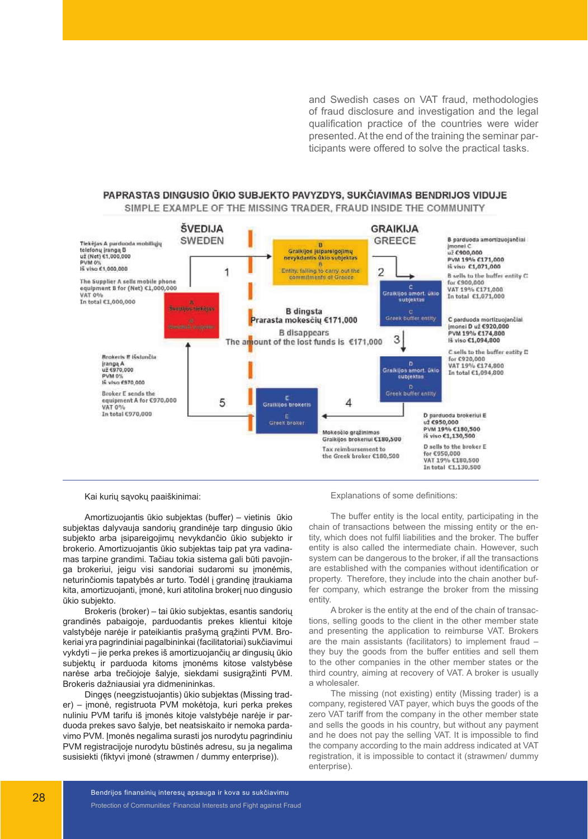and Swedish cases on VAT fraud, methodologies of fraud disclosure and investigation and the legal qualification practice of the countries were wider presented. At the end of the training the seminar participants were offered to solve the practical tasks.

#### PAPRASTAS DINGUSIO ŪKIO SUBJEKTO PAVYZDYS. SUKČIAVIMAS BENDRIJOS VIDUJE

SIMPLE EXAMPLE OF THE MISSING TRADER. FRAUD INSIDE THE COMMUNITY



Kai kurių sąvokų paaiškinimai:

Amortizuojantis ūkio subjektas (buffer) – vietinis ūkio subjektas dalyvauja sandorių grandinėje tarp dingusio ūkio subjekto arba įsipareigojimų nevykdančio ūkio subjekto ir brokerio. Amortizuojantis ūkio subjektas taip pat yra vadinamas tarpine grandimi. Tačiau tokia sistema gali būti pavojinga brokeriui, jeigu visi sandoriai sudaromi su įmonėmis, neturinčiomis tapatybės ar turto. Todėl į grandinę įtraukiama kita, amortizuojanti, įmonė, kuri atitolina brokerį nuo dingusio ūkio subjekto.

Brokeris (broker) – tai ūkio subjektas, esantis sandorių grandinės pabaigoje, parduodantis prekes klientui kitoje valstybėje narėje ir pateikiantis prašymą grąžinti PVM. Brokeriai yra pagrindiniai pagalbininkai (facilitatoriai) sukčiavimui vykdyti – jie perka prekes iš amortizuojančių ar dingusių ūkio subjektų ir parduoda kitoms įmonėms kitose valstybėse narėse arba trečiojoje šalyje, siekdami susigrąžinti PVM. Brokeris dažniausiai yra didmenininkas.

Dingęs (neegzistuojantis) ūkio subjektas (Missing trader) – įmonė, registruota PVM mokėtoja, kuri perka prekes nuliniu PVM tarifu iš įmonės kitoje valstybėje narėje ir parduoda prekes savo šalyje, bet neatsiskaito ir nemoka pardavimo PVM. Įmonės negalima surasti jos nurodytu pagrindiniu PVM registracijoje nurodytu būstinės adresu, su ja negalima susisiekti (fiktyvi įmonė (strawmen / dummy enterprise)).

Explanations of some definitions:

The buffer entity is the local entity, participating in the chain of transactions between the missing entity or the entity, which does not fulfil liabilities and the broker. The buffer entity is also called the intermediate chain. However, such system can be dangerous to the broker, if all the transactions are established with the companies without identification or property. Therefore, they include into the chain another buffer company, which estrange the broker from the missing entity.

A broker is the entity at the end of the chain of transactions, selling goods to the client in the other member state and presenting the application to reimburse VAT. Brokers are the main assistants (facilitators) to implement fraud – they buy the goods from the buffer entities and sell them to the other companies in the other member states or the third country, aiming at recovery of VAT. A broker is usually a wholesaler.

The missing (not existing) entity (Missing trader) is a company, registered VAT payer, which buys the goods of the zero VAT tariff from the company in the other member state and sells the goods in his country, but without any payment and he does not pay the selling VAT. It is impossible to find the company according to the main address indicated at VAT registration, it is impossible to contact it (strawmen/ dummy enterprise).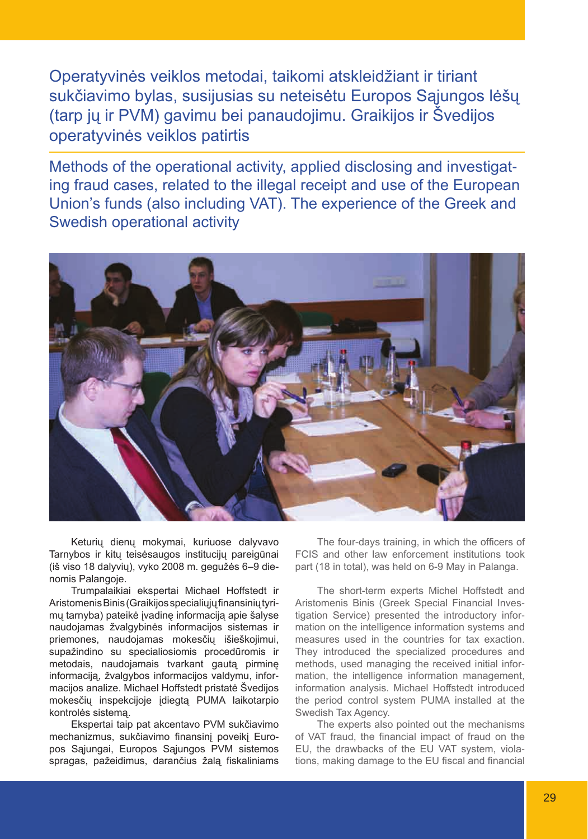Operatyvinės veiklos metodai, taikomi atskleidžiant ir tiriant sukčiavimo bylas, susijusias su neteisėtu Europos Sąjungos lėšų (tarp jų ir PVM) gavimu bei panaudojimu. Graikijos ir Švedijos operatyvinės veiklos patirtis

Methods of the operational activity, applied disclosing and investigating fraud cases, related to the illegal receipt and use of the European Union's funds (also including VAT). The experience of the Greek and Swedish operational activity



Keturių dienų mokymai, kuriuose dalyvavo Tarnybos ir kitų teisėsaugos institucijų pareigūnai (iš viso 18 dalyvių), vyko 2008 m. gegužės 6–9 dienomis Palangoje.

Trumpalaikiai ekspertai Michael Hoffstedt ir Aristomenis Binis (Graikijos specialiųjų finansinių tyrimų tarnyba) pateikė įvadinę informaciją apie šalyse naudojamas žvalgybinės informacijos sistemas ir priemones, naudojamas mokesčių išieškojimui, supažindino su specialiosiomis procedūromis ir metodais, naudojamais tvarkant gautą pirminę informaciją, žvalgybos informacijos valdymu, informacijos analize. Michael Hoffstedt pristatė Švedijos mokesčių inspekcijoje įdiegtą PUMA laikotarpio kontrolės sistemą.

Ekspertai taip pat akcentavo PVM sukčiavimo mechanizmus, sukčiavimo finansinį poveikį Europos Sąjungai, Europos Sąjungos PVM sistemos spragas, pažeidimus, darančius žalą fiskaliniams

The four-days training, in which the officers of FCIS and other law enforcement institutions took part (18 in total), was held on 6-9 May in Palanga.

The short-term experts Michel Hoffstedt and Aristomenis Binis (Greek Special Financial Investigation Service) presented the introductory information on the intelligence information systems and measures used in the countries for tax exaction. They introduced the specialized procedures and methods, used managing the received initial information, the intelligence information management, information analysis. Michael Hoffstedt introduced the period control system PUMA installed at the Swedish Tax Agency.

The experts also pointed out the mechanisms of VAT fraud, the financial impact of fraud on the EU, the drawbacks of the EU VAT system, violations, making damage to the EU fiscal and financial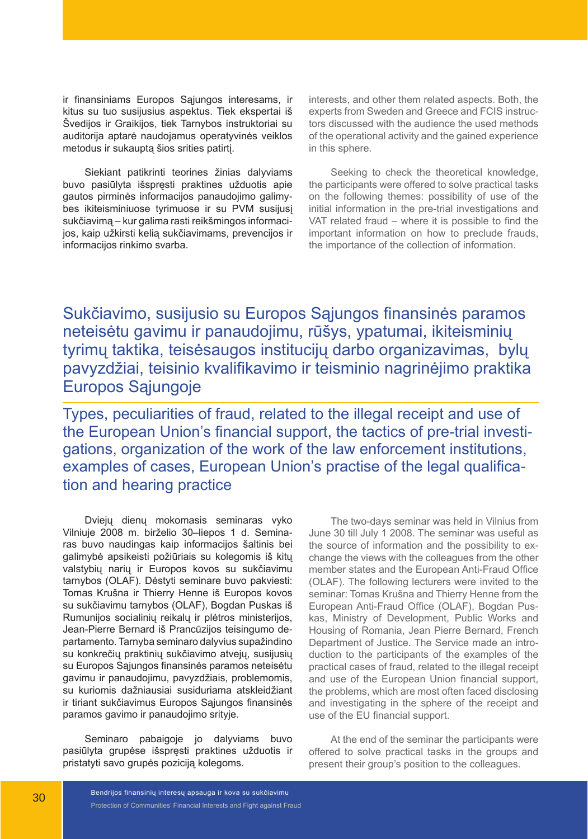ir finansiniams Europos Sąjungos interesams, ir kitus su tuo susijusius aspektus. Tiek ekspertai iš Švedijos ir Graikijos, tiek Tarnybos instruktoriai su auditorija aptarė naudojamus operatyvinės veiklos metodus ir sukauptą šios srities patirtį.

Siekiant patikrinti teorines žinias dalyviams buvo pasiūlyta išspręsti praktines užduotis apie gautos pirminės informacijos panaudojimo galimybes ikiteisminiuose tyrimuose ir su PVM susijusį sukčiavimą – kur galima rasti reikšmingos informacijos, kaip užkirsti kelią sukčiavimams, prevencijos ir informacijos rinkimo svarba.

interests, and other them related aspects. Both, the experts from Sweden and Greece and FCIS instructors discussed with the audience the used methods of the operational activity and the gained experience in this sphere.

Seeking to check the theoretical knowledge, the participants were offered to solve practical tasks on the following themes: possibility of use of the initial information in the pre-trial investigations and VAT related fraud – where it is possible to find the important information on how to preclude frauds, the importance of the collection of information.

Sukčiavimo, susijusio su Europos Sąjungos finansinės paramos neteisėtu gavimu ir panaudojimu, rūšys, ypatumai, ikiteisminių tyrimų taktika, teisėsaugos institucijų darbo organizavimas, bylų pavyzdžiai, teisinio kvalifikavimo ir teisminio nagrinėjimo praktika Europos Sąjungoje

Types, peculiarities of fraud, related to the illegal receipt and use of the European Union's financial support, the tactics of pre-trial investigations, organization of the work of the law enforcement institutions, examples of cases, European Union's practise of the legal qualification and hearing practice

Dviejų dienų mokomasis seminaras vyko Vilniuje 2008 m. birželio 30–liepos 1 d. Seminaras buvo naudingas kaip informacijos šaltinis bei galimybė apsikeisti požiūriais su kolegomis iš kitų valstybių narių ir Europos kovos su sukčiavimu tarnybos (OLAF). Dėstyti seminare buvo pakviesti: Tomas Krušna ir Thierry Henne iš Europos kovos su sukčiavimu tarnybos (OLAF), Bogdan Puskas iš Rumunijos socialinių reikalų ir plėtros ministerijos, Jean-Pierre Bernard iš Prancūzijos teisingumo departamento. Tarnyba seminaro dalyvius supažindino su konkrečių praktinių sukčiavimo atvejų, susijusių su Europos Sąjungos finansinės paramos neteisėtu gavimu ir panaudojimu, pavyzdžiais, problemomis, su kuriomis dažniausiai susiduriama atskleidžiant ir tiriant sukčiavimus Europos Sąjungos finansinės paramos gavimo ir panaudojimo srityje.

Seminaro pabaigoje jo dalyviams buvo pasiūlyta grupėse išspręsti praktines užduotis ir pristatyti savo grupės poziciją kolegoms.

The two-days seminar was held in Vilnius from June 30 till July 1 2008. The seminar was useful as the source of information and the possibility to exchange the views with the colleagues from the other member states and the European Anti-Fraud Office (OLAF). The following lecturers were invited to the seminar: Tomas Krušna and Thierry Henne from the European Anti-Fraud Office (OLAF), Bogdan Puskas, Ministry of Development, Public Works and Housing of Romania, Jean Pierre Bernard, French Department of Justice. The Service made an introduction to the participants of the examples of the practical cases of fraud, related to the illegal receipt and use of the European Union financial support, the problems, which are most often faced disclosing and investigating in the sphere of the receipt and use of the EU financial support.

At the end of the seminar the participants were offered to solve practical tasks in the groups and present their group's position to the colleagues.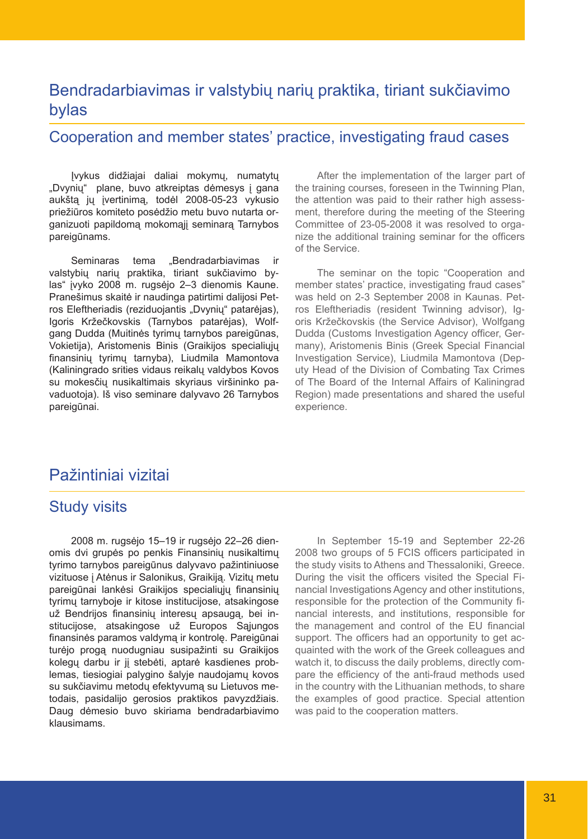## Bendradarbiavimas ir valstybių narių praktika, tiriant sukčiavimo bylas

#### Cooperation and member states' practice, investigating fraud cases

Įvykus didžiajai daliai mokymų, numatytų "Dvynių" plane, buvo atkreiptas dėmesys į gana aukštą jų įvertinimą, todėl 2008-05-23 vykusio priežiūros komiteto posėdžio metu buvo nutarta organizuoti papildomą mokomąjį seminarą Tarnybos pareigūnams.

Seminaras tema "Bendradarbiavimas ir valstybių narių praktika, tiriant sukčiavimo bylas" įvyko 2008 m. rugsėjo 2–3 dienomis Kaune. Pranešimus skaitė ir naudinga patirtimi dalijosi Petros Eleftheriadis (reziduojantis "Dvynių" patarėjas), Igoris Kržečkovskis (Tarnybos patarėjas), Wolfgang Dudda (Muitinės tyrimų tarnybos pareigūnas, Vokietija), Aristomenis Binis (Graikijos specialiųjų finansinių tyrimų tarnyba), Liudmila Mamontova (Kaliningrado srities vidaus reikalų valdybos Kovos su mokesčių nusikaltimais skyriaus viršininko pavaduotoja). Iš viso seminare dalyvavo 26 Tarnybos pareigūnai.

After the implementation of the larger part of the training courses, foreseen in the Twinning Plan, the attention was paid to their rather high assessment, therefore during the meeting of the Steering Committee of 23-05-2008 it was resolved to organize the additional training seminar for the officers of the Service.

The seminar on the topic "Cooperation and member states' practice, investigating fraud cases" was held on 2-3 September 2008 in Kaunas. Petros Eleftheriadis (resident Twinning advisor), Igoris Kržečkovskis (the Service Advisor), Wolfgang Dudda (Customs Investigation Agency officer, Germany), Aristomenis Binis (Greek Special Financial Investigation Service), Liudmila Mamontova (Deputy Head of the Division of Combating Tax Crimes of The Board of the Internal Affairs of Kaliningrad Region) made presentations and shared the useful experience.

#### Pažintiniai vizitai

#### Study visits

2008 m. rugsėjo 15–19 ir rugsėjo 22–26 dienomis dvi grupės po penkis Finansinių nusikaltimų tyrimo tarnybos pareigūnus dalyvavo pažintiniuose vizituose į Atėnus ir Salonikus, Graikiją. Vizitų metu pareigūnai lankėsi Graikijos specialiųjų finansinių tyrimų tarnyboje ir kitose institucijose, atsakingose už Bendrijos finansinių interesų apsaugą, bei institucijose, atsakingose už Europos Sąjungos finansinės paramos valdymą ir kontrolę. Pareigūnai turėjo progą nuodugniau susipažinti su Graikijos kolegų darbu ir jį stebėti, aptarė kasdienes problemas, tiesiogiai palygino šalyje naudojamų kovos su sukčiavimu metodų efektyvumą su Lietuvos metodais, pasidalijo gerosios praktikos pavyzdžiais. Daug dėmesio buvo skiriama bendradarbiavimo klausimams.

In September 15-19 and September 22-26 2008 two groups of 5 FCIS officers participated in the study visits to Athens and Thessaloniki, Greece. During the visit the officers visited the Special Financial Investigations Agency and other institutions, responsible for the protection of the Community financial interests, and institutions, responsible for the management and control of the EU financial support. The officers had an opportunity to get acquainted with the work of the Greek colleagues and watch it, to discuss the daily problems, directly compare the efficiency of the anti-fraud methods used in the country with the Lithuanian methods, to share the examples of good practice. Special attention was paid to the cooperation matters.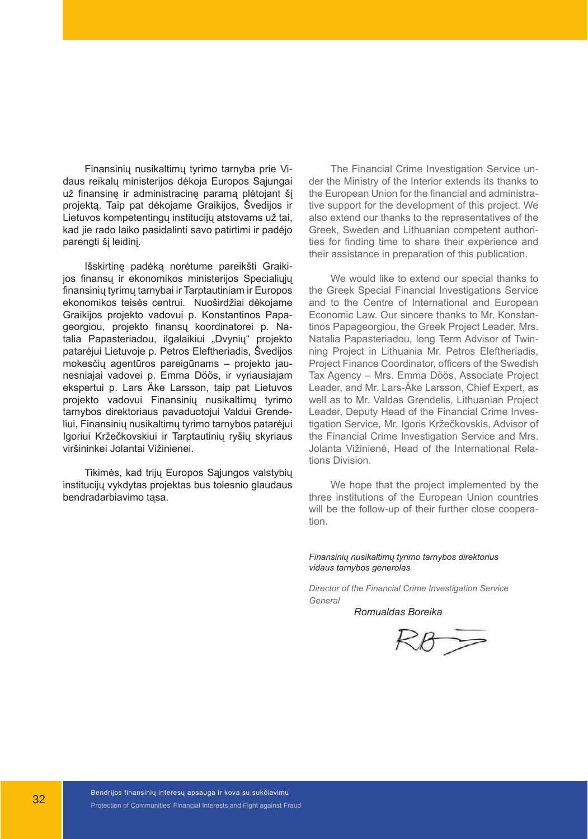Finansinių nusikaltimų tyrimo tarnyba prie Vidaus reikalų ministerijos dėkoja Europos Sąjungai už finansinę ir administracinę paramą plėtojant šį projektą. Taip pat dėkojame Graikijos, Švedijos ir Lietuvos kompetentingų institucijų atstovams už tai, kad jie rado laiko pasidalinti savo patirtimi ir padėjo parengti šį leidinį.

Išskirtinę padėką norėtume pareikšti Graikijos finansų ir ekonomikos ministerijos Specialiųjų finansinių tyrimų tarnybai ir Tarptautiniam ir Europos ekonomikos teisės centrui. Nuoširdžiai dėkojame Graikijos projekto vadovui p. Konstantinos Papageorgiou, projekto finansų koordinatorei p. Natalia Papasteriadou, ilgalaikiui "Dvynių" projekto patarėjui Lietuvoje p. Petros Eleftheriadis, Švedijos mokesčių agentūros pareigūnams – projekto jaunesniajai vadovei p. Emma Döös, ir vyriausiajam ekspertui p. Lars Äke Larsson, taip pat Lietuvos projekto vadovui Finansinių nusikaltimų tyrimo tarnybos direktoriaus pavaduotojui Valdui Grendeliui, Finansinių nusikaltimų tyrimo tarnybos patarėjui Igoriui Kržečkovskiui ir Tarptautinių ryšių skyriaus viršininkei Jolantai Vižinienei.

Tikimės, kad trijų Europos Sąjungos valstybių institucijų vykdytas projektas bus tolesnio glaudaus bendradarbiavimo tąsa.

The Financial Crime Investigation Service under the Ministry of the Interior extends its thanks to the European Union for the financial and administrative support for the development of this project. We also extend our thanks to the representatives of the Greek, Sweden and Lithuanian competent authorities for finding time to share their experience and their assistance in preparation of this publication.

We would like to extend our special thanks to the Greek Special Financial Investigations Service and to the Centre of International and European Economic Law. Our sincere thanks to Mr. Konstantinos Papageorgiou, the Greek Project Leader, Mrs. Natalia Papasteriadou, long Term Advisor of Twinning Project in Lithuania Mr. Petros Eleftheriadis, Project Finance Coordinator, officers of the Swedish Tax Agency – Mrs. Emma Döös, Associate Project Leader, and Mr. Lars-Äke Larsson, Chief Expert, as well as to Mr. Valdas Grendelis, Lithuanian Project Leader, Deputy Head of the Financial Crime Investigation Service, Mr. Igoris Kržečkovskis, Advisor of the Financial Crime Investigation Service and Mrs. Jolanta Vižinienė, Head of the International Relations Division.

We hope that the project implemented by the three institutions of the European Union countries will be the follow-up of their further close cooperation.

*Finansinių nusikaltimų tyrimo tarnybos direktorius vidaus tarnybos generolas*

*Director of the Financial Crime Investigation Service General* 

 *Romualdas Boreika*

 $RB =$